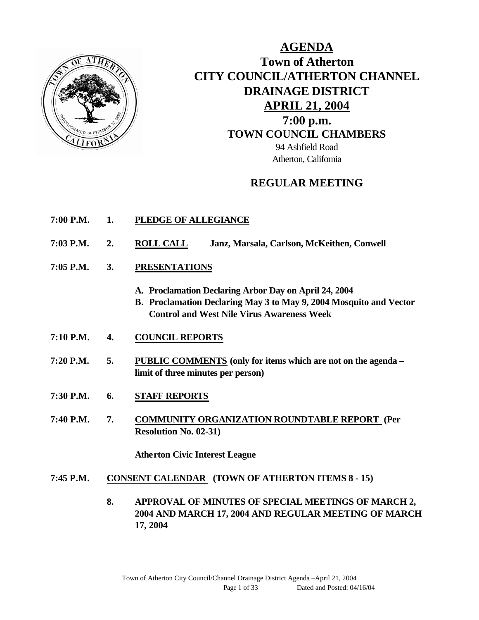

# **AGENDA Town of Atherton CITY COUNCIL/ATHERTON CHANNEL DRAINAGE DISTRICT APRIL 21, 2004 7:00 p.m. TOWN COUNCIL CHAMBERS** 94 Ashfield Road Atherton, California

# **REGULAR MEETING**

- **7:00 P.M. 1. PLEDGE OF ALLEGIANCE**
- **7:03 P.M. 2. ROLL CALL Janz, Marsala, Carlson, McKeithen, Conwell**
- **7:05 P.M. 3. PRESENTATIONS** 
	- **A. Proclamation Declaring Arbor Day on April 24, 2004**
	- **B. Proclamation Declaring May 3 to May 9, 2004 Mosquito and Vector Control and West Nile Virus Awareness Week**
- **7:10 P.M. 4. COUNCIL REPORTS**
- **7:20 P.M. 5. PUBLIC COMMENTS (only for items which are not on the agenda – limit of three minutes per person)**
- **7:30 P.M. 6. STAFF REPORTS**
- **7:40 P.M. 7. COMMUNITY ORGANIZATION ROUNDTABLE REPORT (Per Resolution No. 02-31)**

**Atherton Civic Interest League**

- **7:45 P.M. CONSENT CALENDAR (TOWN OF ATHERTON ITEMS 8 - 15)**
	- **8. APPROVAL OF MINUTES OF SPECIAL MEETINGS OF MARCH 2, 2004 AND MARCH 17, 2004 AND REGULAR MEETING OF MARCH 17, 2004**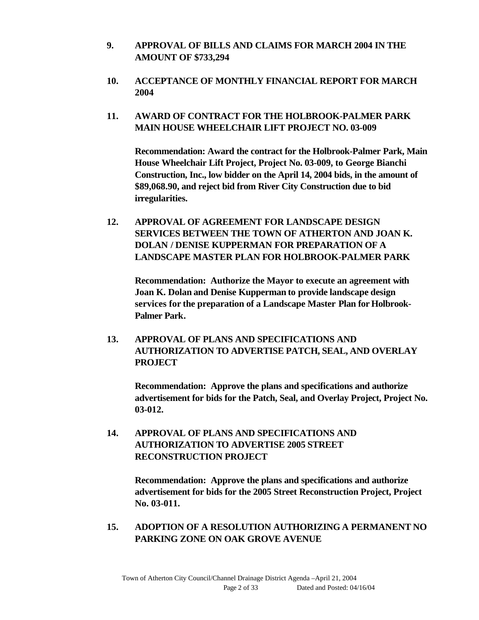- **9. APPROVAL OF BILLS AND CLAIMS FOR MARCH 2004 IN THE AMOUNT OF \$733,294**
- **10. ACCEPTANCE OF MONTHLY FINANCIAL REPORT FOR MARCH 2004**
- **11. AWARD OF CONTRACT FOR THE HOLBROOK-PALMER PARK MAIN HOUSE WHEELCHAIR LIFT PROJECT NO. 03-009**

**Recommendation: Award the contract for the Holbrook-Palmer Park, Main House Wheelchair Lift Project, Project No. 03-009, to George Bianchi Construction, Inc., low bidder on the April 14, 2004 bids, in the amount of \$89,068.90, and reject bid from River City Construction due to bid irregularities.**

**12. APPROVAL OF AGREEMENT FOR LANDSCAPE DESIGN SERVICES BETWEEN THE TOWN OF ATHERTON AND JOAN K. DOLAN / DENISE KUPPERMAN FOR PREPARATION OF A LANDSCAPE MASTER PLAN FOR HOLBROOK-PALMER PARK**

**Recommendation: Authorize the Mayor to execute an agreement with Joan K. Dolan and Denise Kupperman to provide landscape design services for the preparation of a Landscape Master Plan for Holbrook-Palmer Park.**

**13. APPROVAL OF PLANS AND SPECIFICATIONS AND AUTHORIZATION TO ADVERTISE PATCH, SEAL, AND OVERLAY PROJECT**

**Recommendation: Approve the plans and specifications and authorize advertisement for bids for the Patch, Seal, and Overlay Project, Project No. 03-012.**

**14. APPROVAL OF PLANS AND SPECIFICATIONS AND AUTHORIZATION TO ADVERTISE 2005 STREET RECONSTRUCTION PROJECT**

> **Recommendation: Approve the plans and specifications and authorize advertisement for bids for the 2005 Street Reconstruction Project, Project No. 03-011.**

**15. ADOPTION OF A RESOLUTION AUTHORIZING A PERMANENT NO PARKING ZONE ON OAK GROVE AVENUE**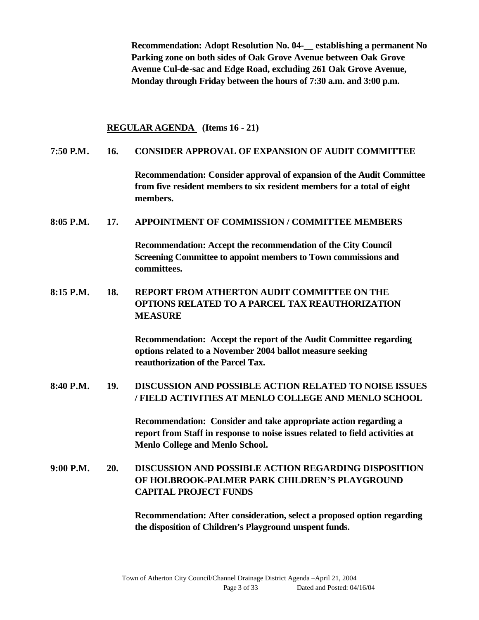**Recommendation: Adopt Resolution No. 04-\_\_ establishing a permanent No Parking zone on both sides of Oak Grove Avenue between Oak Grove Avenue Cul-de-sac and Edge Road, excluding 261 Oak Grove Avenue, Monday through Friday between the hours of 7:30 a.m. and 3:00 p.m.**

#### **REGULAR AGENDA (Items 16 - 21)**

### **7:50 P.M. 16. CONSIDER APPROVAL OF EXPANSION OF AUDIT COMMITTEE**

**Recommendation: Consider approval of expansion of the Audit Committee from five resident members to six resident members for a total of eight members.**

### **8:05 P.M. 17. APPOINTMENT OF COMMISSION / COMMITTEE MEMBERS**

**Recommendation: Accept the recommendation of the City Council Screening Committee to appoint members to Town commissions and committees.**

**8:15 P.M. 18. REPORT FROM ATHERTON AUDIT COMMITTEE ON THE OPTIONS RELATED TO A PARCEL TAX REAUTHORIZATION MEASURE**

> **Recommendation: Accept the report of the Audit Committee regarding options related to a November 2004 ballot measure seeking reauthorization of the Parcel Tax.**

**8:40 P.M. 19. DISCUSSION AND POSSIBLE ACTION RELATED TO NOISE ISSUES / FIELD ACTIVITIES AT MENLO COLLEGE AND MENLO SCHOOL**

> **Recommendation: Consider and take appropriate action regarding a report from Staff in response to noise issues related to field activities at Menlo College and Menlo School.**

# **9:00 P.M. 20. DISCUSSION AND POSSIBLE ACTION REGARDING DISPOSITION OF HOLBROOK-PALMER PARK CHILDREN'S PLAYGROUND CAPITAL PROJECT FUNDS**

**Recommendation: After consideration, select a proposed option regarding the disposition of Children's Playground unspent funds.**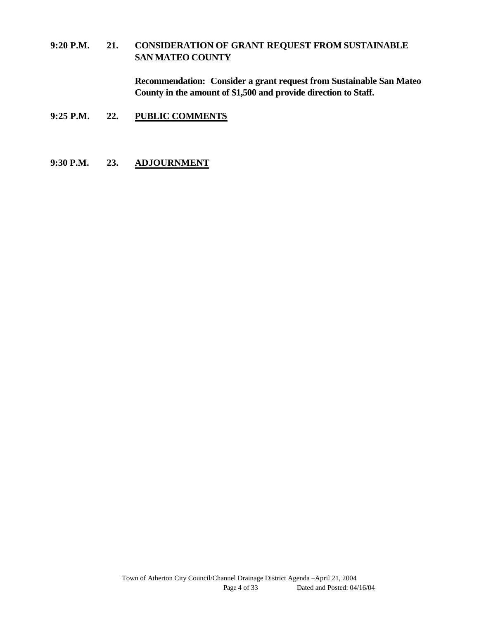# **9:20 P.M. 21. CONSIDERATION OF GRANT REQUEST FROM SUSTAINABLE SAN MATEO COUNTY**

**Recommendation: Consider a grant request from Sustainable San Mateo County in the amount of \$1,500 and provide direction to Staff.**

- **9:25 P.M. 22. PUBLIC COMMENTS**
- **9:30 P.M. 23. ADJOURNMENT**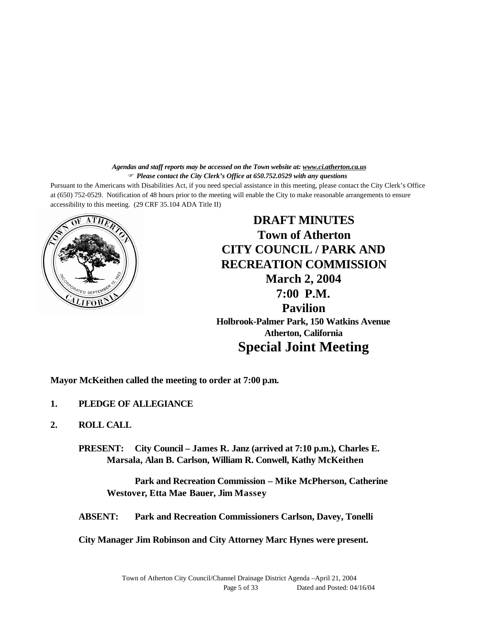*Agendas and staff reports may be accessed on the Town website at: www.ci.atherton.ca.us* F *Please contact the City Clerk's Office at 650.752.0529 with any questions*

Pursuant to the Americans with Disabilities Act, if you need special assistance in this meeting, please contact the City Clerk's Office at (650) 752-0529. Notification of 48 hours prior to the meeting will enable the City to make reasonable arrangements to ensure accessibility to this meeting. (29 CRF 35.104 ADA Title II)



**DRAFT MINUTES Town of Atherton CITY COUNCIL / PARK AND RECREATION COMMISSION March 2, 2004 7:00 P.M. Pavilion Holbrook-Palmer Park, 150 Watkins Avenue Atherton, California Special Joint Meeting**

**Mayor McKeithen called the meeting to order at 7:00 p.m.**

- **1. PLEDGE OF ALLEGIANCE**
- **2. ROLL CALL**

**PRESENT: City Council – James R. Janz (arrived at 7:10 p.m.), Charles E. Marsala, Alan B. Carlson, William R. Conwell, Kathy McKeithen**

**Park and Recreation Commission – Mike McPherson, Catherine Westover, Etta Mae Bauer, Jim Massey**

**ABSENT: Park and Recreation Commissioners Carlson, Davey, Tonelli**

**City Manager Jim Robinson and City Attorney Marc Hynes were present.**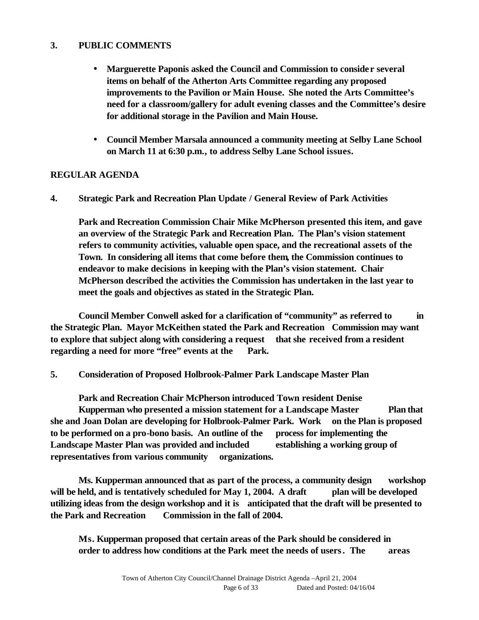# **3. PUBLIC COMMENTS**

- **Marguerette Paponis asked the Council and Commission to consider several items on behalf of the Atherton Arts Committee regarding any proposed improvements to the Pavilion or Main House. She noted the Arts Committee's need for a classroom/gallery for adult evening classes and the Committee's desire for additional storage in the Pavilion and Main House.**
- **Council Member Marsala announced a community meeting at Selby Lane School on March 11 at 6:30 p.m., to address Selby Lane School issues.**

### **REGULAR AGENDA**

**4. Strategic Park and Recreation Plan Update / General Review of Park Activities**

**Park and Recreation Commission Chair Mike McPherson presented this item, and gave an overview of the Strategic Park and Recreation Plan. The Plan's vision statement refers to community activities, valuable open space, and the recreational assets of the Town. In considering all items that come before them, the Commission continues to endeavor to make decisions in keeping with the Plan's vision statement. Chair McPherson described the activities the Commission has undertaken in the last year to meet the goals and objectives as stated in the Strategic Plan.**

**Council Member Conwell asked for a clarification of "community" as referred to in the Strategic Plan. Mayor McKeithen stated the Park and Recreation Commission may want to explore that subject along with considering a request that she received from a resident regarding a need for more "free" events at the Park.** 

**5. Consideration of Proposed Holbrook-Palmer Park Landscape Master Plan**

**Park and Recreation Chair McPherson introduced Town resident Denise Kupperman who presented a mission statement for a Landscape Master Plan that she and Joan Dolan are developing for Holbrook-Palmer Park. Work on the Plan is proposed to be performed on a pro-bono basis. An outline of the process for implementing the Landscape Master Plan was provided and included establishing a working group of representatives from various community organizations.** 

**Ms. Kupperman announced that as part of the process, a community design workshop will be held, and is tentatively scheduled for May 1, 2004. A draft plan will be developed utilizing ideas from the design workshop and it is anticipated that the draft will be presented to the Park and Recreation Commission in the fall of 2004.**

**Ms. Kupperman proposed that certain areas of the Park should be considered in order to address how conditions at the Park meet the needs of users. The areas**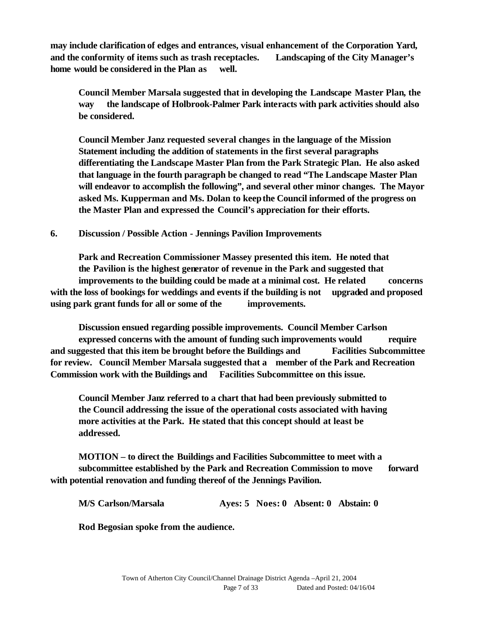**may include clarification of edges and entrances, visual enhancement of the Corporation Yard, and the conformity of items such as trash receptacles. Landscaping of the City Manager's home would be considered in the Plan as well.**

**Council Member Marsala suggested that in developing the Landscape Master Plan, the way the landscape of Holbrook-Palmer Park interacts with park activities should also be considered.**

**Council Member Janz requested several changes in the language of the Mission Statement including the addition of statements in the first several paragraphs differentiating the Landscape Master Plan from the Park Strategic Plan. He also asked that language in the fourth paragraph be changed to read "The Landscape Master Plan will endeavor to accomplish the following", and several other minor changes. The Mayor asked Ms. Kupperman and Ms. Dolan to keep the Council informed of the progress on the Master Plan and expressed the Council's appreciation for their efforts.**

**6. Discussion / Possible Action - Jennings Pavilion Improvements**

**Park and Recreation Commissioner Massey presented this item. He noted that the Pavilion is the highest generator of revenue in the Park and suggested that improvements to the building could be made at a minimal cost. He related concerns with the loss of bookings for weddings and events if the building is not upgraded and proposed using park grant funds for all or some of the improvements.**

**Discussion ensued regarding possible improvements. Council Member Carlson expressed concerns with the amount of funding such improvements would require and suggested that this item be brought before the Buildings and Facilities Subcommittee for review. Council Member Marsala suggested that a member of the Park and Recreation Commission work with the Buildings and Facilities Subcommittee on this issue.**

**Council Member Janz referred to a chart that had been previously submitted to the Council addressing the issue of the operational costs associated with having more activities at the Park. He stated that this concept should at least be addressed.**

**MOTION – to direct the Buildings and Facilities Subcommittee to meet with a subcommittee established by the Park and Recreation Commission to move forward with potential renovation and funding thereof of the Jennings Pavilion.**

| M/S Carlson/Marsala |  | Ayes: 5 Noes: 0 Absent: 0 Abstain: 0 |  |
|---------------------|--|--------------------------------------|--|
|                     |  |                                      |  |

**Rod Begosian spoke from the audience.**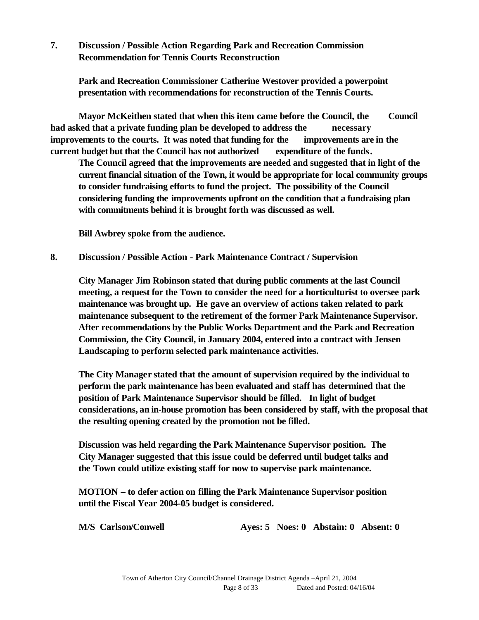**7. Discussion / Possible Action Regarding Park and Recreation Commission Recommendation for Tennis Courts Reconstruction**

**Park and Recreation Commissioner Catherine Westover provided a powerpoint presentation with recommendations for reconstruction of the Tennis Courts.** 

**Mayor McKeithen stated that when this item came before the Council, the Council had asked that a private funding plan be developed to address the necessary improvements to the courts. It was noted that funding for the improvements are in the current budget but that the Council has not authorized expenditure of the funds.** 

**The Council agreed that the improvements are needed and suggested that in light of the current financial situation of the Town, it would be appropriate for local community groups to consider fundraising efforts to fund the project. The possibility of the Council considering funding the improvements upfront on the condition that a fundraising plan with commitments behind it is brought forth was discussed as well.**

**Bill Awbrey spoke from the audience.**

**8. Discussion / Possible Action - Park Maintenance Contract / Supervision**

**City Manager Jim Robinson stated that during public comments at the last Council meeting, a request for the Town to consider the need for a horticulturist to oversee park maintenance was brought up. He gave an overview of actions taken related to park maintenance subsequent to the retirement of the former Park Maintenance Supervisor. After recommendations by the Public Works Department and the Park and Recreation Commission, the City Council, in January 2004, entered into a contract with Jensen Landscaping to perform selected park maintenance activities.**

**The City Manager stated that the amount of supervision required by the individual to perform the park maintenance has been evaluated and staff has determined that the position of Park Maintenance Supervisor should be filled. In light of budget considerations, an in-house promotion has been considered by staff, with the proposal that the resulting opening created by the promotion not be filled.**

**Discussion was held regarding the Park Maintenance Supervisor position. The City Manager suggested that this issue could be deferred until budget talks and the Town could utilize existing staff for now to supervise park maintenance.**

**MOTION – to defer action on filling the Park Maintenance Supervisor position until the Fiscal Year 2004-05 budget is considered.**

**M/S Carlson/Conwell Ayes: 5 Noes: 0 Abstain: 0 Absent: 0**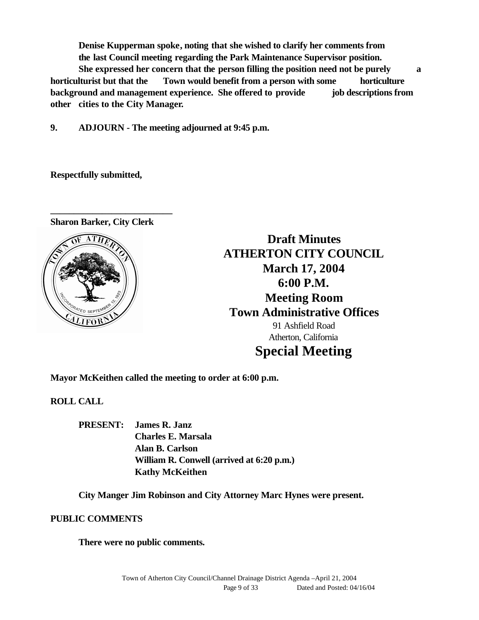**Denise Kupperman spoke, noting that she wished to clarify her comments from the last Council meeting regarding the Park Maintenance Supervisor position. She expressed her concern that the person filling the position need not be purely a horticulturist but that the Town would benefit from a person with some horticulture background and management experience. She offered to provide job descriptions from** 

**other cities to the City Manager.**

**9. ADJOURN - The meeting adjourned at 9:45 p.m.**

**Respectfully submitted,**

**Sharon Barker, City Clerk**

**\_\_\_\_\_\_\_\_\_\_\_\_\_\_\_\_\_\_\_\_\_\_\_\_\_\_**



**Draft Minutes ATHERTON CITY COUNCIL March 17, 2004 6:00 P.M. Meeting Room Town Administrative Offices** 91 Ashfield Road Atherton, California **Special Meeting**

**Mayor McKeithen called the meeting to order at 6:00 p.m.**

**ROLL CALL**

**PRESENT: James R. Janz Charles E. Marsala Alan B. Carlson William R. Conwell (arrived at 6:20 p.m.) Kathy McKeithen**

**City Manger Jim Robinson and City Attorney Marc Hynes were present.**

**PUBLIC COMMENTS**

**There were no public comments.**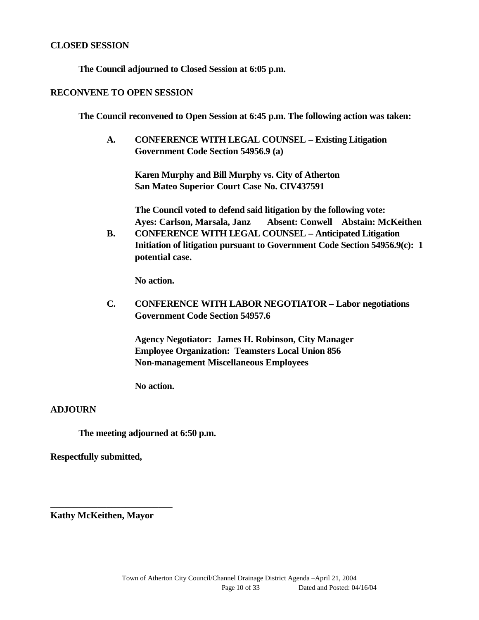#### **CLOSED SESSION**

**The Council adjourned to Closed Session at 6:05 p.m.**

#### **RECONVENE TO OPEN SESSION**

**The Council reconvened to Open Session at 6:45 p.m. The following action was taken:**

**A. CONFERENCE WITH LEGAL COUNSEL – Existing Litigation Government Code Section 54956.9 (a)**

**Karen Murphy and Bill Murphy vs. City of Atherton San Mateo Superior Court Case No. CIV437591**

**The Council voted to defend said litigation by the following vote: Ayes: Carlson, Marsala, Janz Absent: Conwell Abstain: McKeithen**

**B. CONFERENCE WITH LEGAL COUNSEL – Anticipated Litigation Initiation of litigation pursuant to Government Code Section 54956.9(c): 1 potential case.**

**No action.**

**C. CONFERENCE WITH LABOR NEGOTIATOR – Labor negotiations Government Code Section 54957.6**

**Agency Negotiator: James H. Robinson, City Manager Employee Organization: Teamsters Local Union 856 Non-management Miscellaneous Employees**

**No action.**

### **ADJOURN**

**The meeting adjourned at 6:50 p.m.**

**Respectfully submitted,**

**Kathy McKeithen, Mayor**

**\_\_\_\_\_\_\_\_\_\_\_\_\_\_\_\_\_\_\_\_\_\_\_\_\_\_**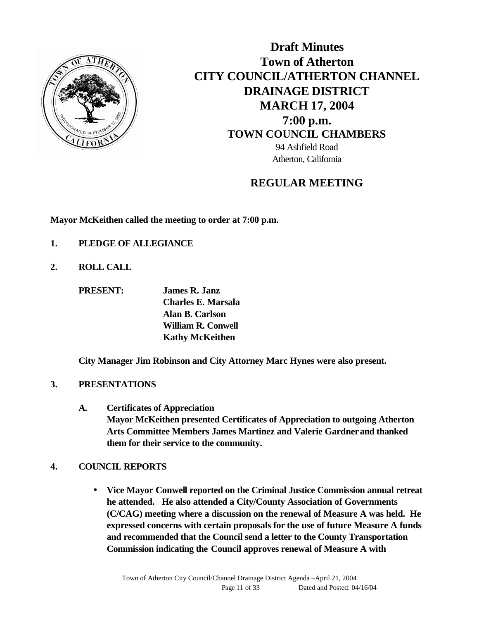

**Draft Minutes Town of Atherton CITY COUNCIL/ATHERTON CHANNEL DRAINAGE DISTRICT MARCH 17, 2004 7:00 p.m. TOWN COUNCIL CHAMBERS** 94 Ashfield Road Atherton, California

# **REGULAR MEETING**

**Mayor McKeithen called the meeting to order at 7:00 p.m.**

- **1. PLEDGE OF ALLEGIANCE**
- **2. ROLL CALL**

**PRESENT: James R. Janz Charles E. Marsala Alan B. Carlson William R. Conwell Kathy McKeithen**

**City Manager Jim Robinson and City Attorney Marc Hynes were also present.**

### **3. PRESENTATIONS**

**A. Certificates of Appreciation Mayor McKeithen presented Certificates of Appreciation to outgoing Atherton Arts Committee Members James Martinez and Valerie Gardner and thanked them for their service to the community.**

### **4. COUNCIL REPORTS**

• **Vice Mayor Conwell reported on the Criminal Justice Commission annual retreat he attended. He also attended a City/County Association of Governments (C/CAG) meeting where a discussion on the renewal of Measure A was held. He expressed concerns with certain proposals for the use of future Measure A funds and recommended that the Council send a letter to the County Transportation Commission indicating the Council approves renewal of Measure A with**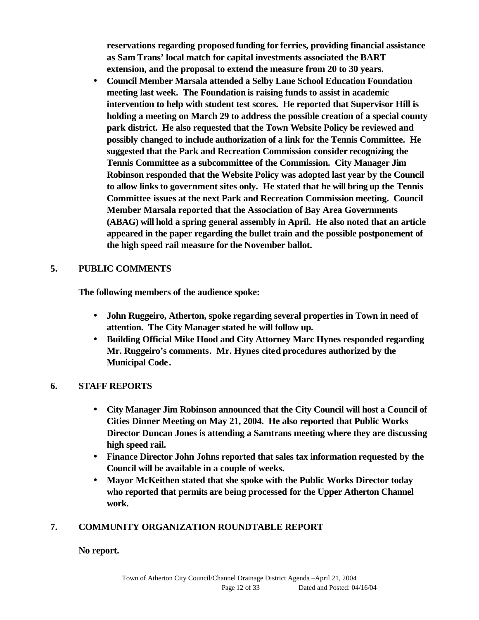**reservations regarding proposedfunding for ferries, providing financial assistance as Sam Trans' local match for capital investments associated the BART extension, and the proposal to extend the measure from 20 to 30 years.**

• **Council Member Marsala attended a Selby Lane School Education Foundation meeting last week. The Foundation is raising funds to assist in academic intervention to help with student test scores. He reported that Supervisor Hill is holding a meeting on March 29 to address the possible creation of a special county park district. He also requested that the Town Website Policy be reviewed and possibly changed to include authorization of a link for the Tennis Committee. He suggested that the Park and Recreation Commission consider recognizing the Tennis Committee as a subcommittee of the Commission. City Manager Jim Robinson responded that the Website Policy was adopted last year by the Council to allow links to government sites only. He stated that he will bring up the Tennis Committee issues at the next Park and Recreation Commission meeting. Council Member Marsala reported that the Association of Bay Area Governments (ABAG) will hold a spring general assembly in April. He also noted that an article appeared in the paper regarding the bullet train and the possible postponement of the high speed rail measure for the November ballot.**

# **5. PUBLIC COMMENTS**

**The following members of the audience spoke:**

- **John Ruggeiro, Atherton, spoke regarding several properties in Town in need of attention. The City Manager stated he will follow up.**
- **Building Official Mike Hood and City Attorney Marc Hynes responded regarding Mr. Ruggeiro's comments. Mr. Hynes cited procedures authorized by the Municipal Code.**

# **6. STAFF REPORTS**

- **City Manager Jim Robinson announced that the City Council will host a Council of Cities Dinner Meeting on May 21, 2004. He also reported that Public Works Director Duncan Jones is attending a Samtrans meeting where they are discussing high speed rail.**
- **Finance Director John Johns reported that sales tax information requested by the Council will be available in a couple of weeks.**
- **Mayor McKeithen stated that she spoke with the Public Works Director today who reported that permits are being processed for the Upper Atherton Channel work.**

# **7. COMMUNITY ORGANIZATION ROUNDTABLE REPORT**

### **No report.**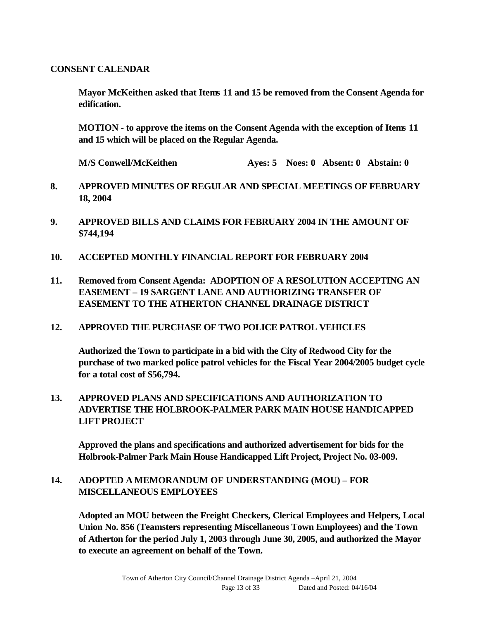### **CONSENT CALENDAR**

**Mayor McKeithen asked that Items 11 and 15 be removed from the Consent Agenda for edification.**

**MOTION - to approve the items on the Consent Agenda with the exception of Items 11 and 15 which will be placed on the Regular Agenda.**

**M/S Conwell/McKeithen Ayes: 5 Noes: 0 Absent: 0 Abstain: 0**

- **8. APPROVED MINUTES OF REGULAR AND SPECIAL MEETINGS OF FEBRUARY 18, 2004**
- **9. APPROVED BILLS AND CLAIMS FOR FEBRUARY 2004 IN THE AMOUNT OF \$744,194**
- **10. ACCEPTED MONTHLY FINANCIAL REPORT FOR FEBRUARY 2004**
- **11. Removed from Consent Agenda: ADOPTION OF A RESOLUTION ACCEPTING AN EASEMENT – 19 SARGENT LANE AND AUTHORIZING TRANSFER OF EASEMENT TO THE ATHERTON CHANNEL DRAINAGE DISTRICT**

### **12. APPROVED THE PURCHASE OF TWO POLICE PATROL VEHICLES**

**Authorized the Town to participate in a bid with the City of Redwood City for the purchase of two marked police patrol vehicles for the Fiscal Year 2004/2005 budget cycle for a total cost of \$56,794.**

## **13. APPROVED PLANS AND SPECIFICATIONS AND AUTHORIZATION TO ADVERTISE THE HOLBROOK-PALMER PARK MAIN HOUSE HANDICAPPED LIFT PROJECT**

**Approved the plans and specifications and authorized advertisement for bids for the Holbrook-Palmer Park Main House Handicapped Lift Project, Project No. 03-009.**

### **14. ADOPTED A MEMORANDUM OF UNDERSTANDING (MOU) – FOR MISCELLANEOUS EMPLOYEES**

**Adopted an MOU between the Freight Checkers, Clerical Employees and Helpers, Local Union No. 856 (Teamsters representing Miscellaneous Town Employees) and the Town of Atherton for the period July 1, 2003 through June 30, 2005, and authorized the Mayor to execute an agreement on behalf of the Town.**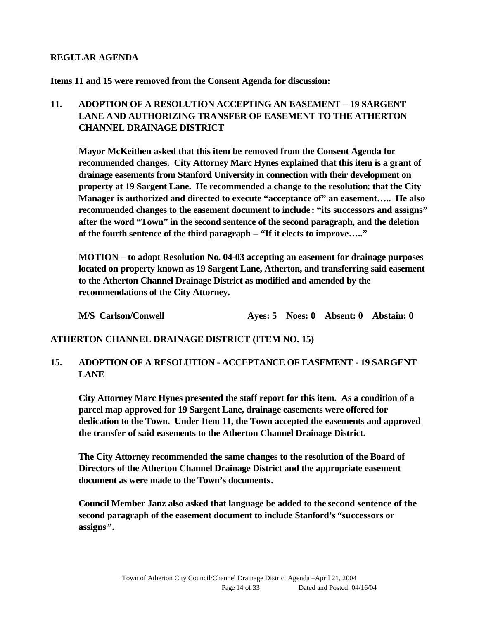### **REGULAR AGENDA**

**Items 11 and 15 were removed from the Consent Agenda for discussion:**

# **11. ADOPTION OF A RESOLUTION ACCEPTING AN EASEMENT – 19 SARGENT LANE AND AUTHORIZING TRANSFER OF EASEMENT TO THE ATHERTON CHANNEL DRAINAGE DISTRICT**

**Mayor McKeithen asked that this item be removed from the Consent Agenda for recommended changes. City Attorney Marc Hynes explained that this item is a grant of drainage easements from Stanford University in connection with their development on property at 19 Sargent Lane. He recommended a change to the resolution: that the City Manager is authorized and directed to execute "acceptance of" an easement….. He also recommended changes to the easement document to include: "its successors and assigns" after the word "Town" in the second sentence of the second paragraph, and the deletion of the fourth sentence of the third paragraph – "If it elects to improve….."** 

**MOTION – to adopt Resolution No. 04-03 accepting an easement for drainage purposes located on property known as 19 Sargent Lane, Atherton, and transferring said easement to the Atherton Channel Drainage District as modified and amended by the recommendations of the City Attorney.**

**M/S Carlson/Conwell Ayes: 5 Noes: 0 Absent: 0 Abstain: 0**

### **ATHERTON CHANNEL DRAINAGE DISTRICT (ITEM NO. 15)**

## **15. ADOPTION OF A RESOLUTION - ACCEPTANCE OF EASEMENT - 19 SARGENT LANE**

**City Attorney Marc Hynes presented the staff report for this item. As a condition of a parcel map approved for 19 Sargent Lane, drainage easements were offered for dedication to the Town. Under Item 11, the Town accepted the easements and approved the transfer of said easements to the Atherton Channel Drainage District.**

**The City Attorney recommended the same changes to the resolution of the Board of Directors of the Atherton Channel Drainage District and the appropriate easement document as were made to the Town's documents.**

**Council Member Janz also asked that language be added to the second sentence of the second paragraph of the easement document to include Stanford's "successors or assigns".**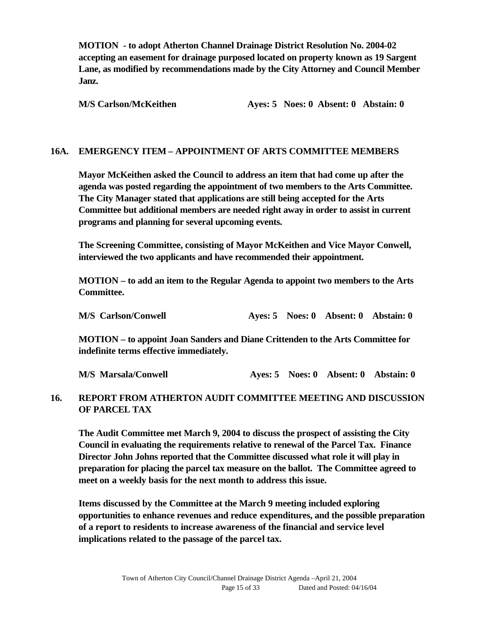**MOTION - to adopt Atherton Channel Drainage District Resolution No. 2004-02 accepting an easement for drainage purposed located on property known as 19 Sargent Lane, as modified by recommendations made by the City Attorney and Council Member Janz.**

**M/S Carlson/McKeithen Ayes: 5 Noes: 0 Absent: 0 Abstain: 0**

### **16A. EMERGENCY ITEM – APPOINTMENT OF ARTS COMMITTEE MEMBERS**

**Mayor McKeithen asked the Council to address an item that had come up after the agenda was posted regarding the appointment of two members to the Arts Committee. The City Manager stated that applications are still being accepted for the Arts Committee but additional members are needed right away in order to assist in current programs and planning for several upcoming events.**

**The Screening Committee, consisting of Mayor McKeithen and Vice Mayor Conwell, interviewed the two applicants and have recommended their appointment.**

**MOTION – to add an item to the Regular Agenda to appoint two members to the Arts Committee.**

**M/S Carlson/Conwell Ayes: 5 Noes: 0 Absent: 0 Abstain: 0**

**MOTION – to appoint Joan Sanders and Diane Crittenden to the Arts Committee for indefinite terms effective immediately.**

**M/S Marsala/Conwell Ayes: 5 Noes: 0 Absent: 0 Abstain: 0**

### **16. REPORT FROM ATHERTON AUDIT COMMITTEE MEETING AND DISCUSSION OF PARCEL TAX**

**The Audit Committee met March 9, 2004 to discuss the prospect of assisting the City Council in evaluating the requirements relative to renewal of the Parcel Tax. Finance Director John Johns reported that the Committee discussed what role it will play in preparation for placing the parcel tax measure on the ballot. The Committee agreed to meet on a weekly basis for the next month to address this issue.** 

**Items discussed by the Committee at the March 9 meeting included exploring opportunities to enhance revenues and reduce expenditures, and the possible preparation of a report to residents to increase awareness of the financial and service level implications related to the passage of the parcel tax.**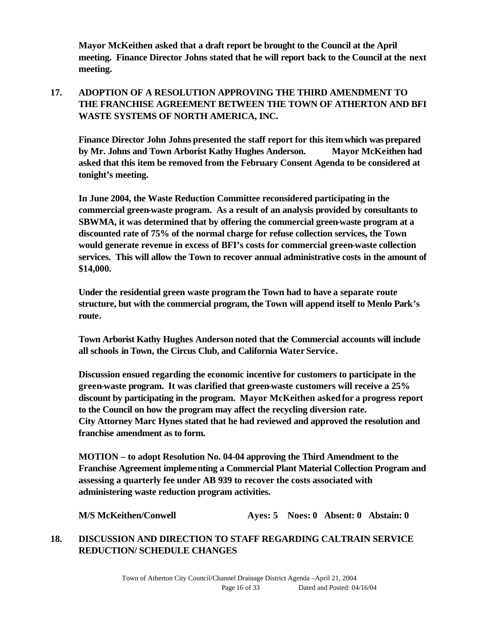**Mayor McKeithen asked that a draft report be brought to the Council at the April meeting. Finance Director Johns stated that he will report back to the Council at the next meeting.**

# **17. ADOPTION OF A RESOLUTION APPROVING THE THIRD AMENDMENT TO THE FRANCHISE AGREEMENT BETWEEN THE TOWN OF ATHERTON AND BFI WASTE SYSTEMS OF NORTH AMERICA, INC.**

**Finance Director John Johns presented the staff report for this item which was prepared by Mr. Johns and Town Arborist Kathy Hughes Anderson. Mayor McKeithen had asked that this item be removed from the February Consent Agenda to be considered at tonight's meeting.** 

**In June 2004, the Waste Reduction Committee reconsidered participating in the commercial green-waste program. As a result of an analysis provided by consultants to SBWMA, it was determined that by offering the commercial green-waste program at a discounted rate of 75% of the normal charge for refuse collection services, the Town would generate revenue in excess of BFI's costs for commercial green-waste collection services. This will allow the Town to recover annual administrative costs in the amount of \$14,000.** 

**Under the residential green waste program the Town had to have a separate route structure, but with the commercial program, the Town will append itself to Menlo Park's route.** 

**Town Arborist Kathy Hughes Anderson noted that the Commercial accounts will include all schools in Town, the Circus Club, and California Water Service.**

**Discussion ensued regarding the economic incentive for customers to participate in the green-waste program. It was clarified that green-waste customers will receive a 25% discount by participating in the program. Mayor McKeithen asked for a progress report to the Council on how the program may affect the recycling diversion rate. City Attorney Marc Hynes stated that he had reviewed and approved the resolution and franchise amendment as to form.**

**MOTION – to adopt Resolution No. 04-04 approving the Third Amendment to the Franchise Agreement implementing a Commercial Plant Material Collection Program and assessing a quarterly fee under AB 939 to recover the costs associated with administering waste reduction program activities.**

**M/S McKeithen/Conwell Ayes: 5 Noes: 0 Absent: 0 Abstain: 0**

# **18. DISCUSSION AND DIRECTION TO STAFF REGARDING CALTRAIN SERVICE REDUCTION/ SCHEDULE CHANGES**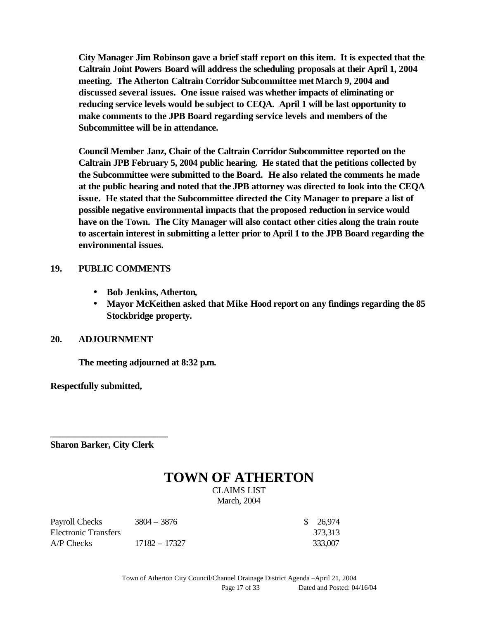**City Manager Jim Robinson gave a brief staff report on this item. It is expected that the Caltrain Joint Powers Board will address the scheduling proposals at their April 1, 2004 meeting. The Atherton Caltrain Corridor Subcommittee met March 9, 2004 and discussed several issues. One issue raised was whether impacts of eliminating or reducing service levels would be subject to CEQA. April 1 will be last opportunity to make comments to the JPB Board regarding service levels and members of the Subcommittee will be in attendance.**

**Council Member Janz, Chair of the Caltrain Corridor Subcommittee reported on the Caltrain JPB February 5, 2004 public hearing. He stated that the petitions collected by the Subcommittee were submitted to the Board. He also related the comments he made at the public hearing and noted that the JPB attorney was directed to look into the CEQA issue. He stated that the Subcommittee directed the City Manager to prepare a list of possible negative environmental impacts that the proposed reduction in service would have on the Town. The City Manager will also contact other cities along the train route to ascertain interest in submitting a letter prior to April 1 to the JPB Board regarding the environmental issues.** 

### **19. PUBLIC COMMENTS**

- **Bob Jenkins, Atherton,**
- **Mayor McKeithen asked that Mike Hood report on any findings regarding the 85 Stockbridge property.**

### **20. ADJOURNMENT**

**The meeting adjourned at 8:32 p.m.**

**Respectfully submitted,**

**Sharon Barker, City Clerk**

**\_\_\_\_\_\_\_\_\_\_\_\_\_\_\_\_\_\_\_\_\_\_\_\_\_**

# **TOWN OF ATHERTON**

CLAIMS LIST March, 2004

| Payroll Checks       | $3804 - 3876$ | \$ 26,974 |
|----------------------|---------------|-----------|
| Electronic Transfers |               | 373,313   |
| $AP$ Checks          | 17182 - 17327 | 333,007   |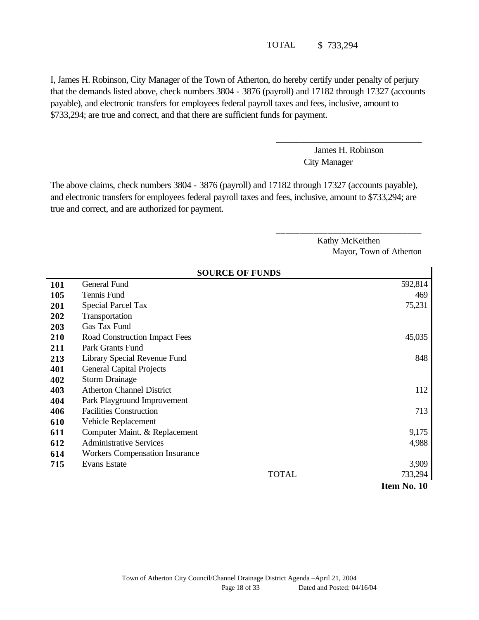TOTAL \$ 733,294

I, James H. Robinson, City Manager of the Town of Atherton, do hereby certify under penalty of perjury that the demands listed above, check numbers 3804 - 3876 (payroll) and 17182 through 17327 (accounts payable), and electronic transfers for employees federal payroll taxes and fees, inclusive, amount to \$733,294; are true and correct, and that there are sufficient funds for payment.

> James H. Robinson City Manager

\_\_\_\_\_\_\_\_\_\_\_\_\_\_\_\_\_\_\_\_\_\_\_\_\_\_\_\_\_\_\_

\_\_\_\_\_\_\_\_\_\_\_\_\_\_\_\_\_\_\_\_\_\_\_\_\_\_\_\_\_\_\_

The above claims, check numbers 3804 - 3876 (payroll) and 17182 through 17327 (accounts payable), and electronic transfers for employees federal payroll taxes and fees, inclusive, amount to \$733,294; are true and correct, and are authorized for payment.

> Kathy McKeithen Mayor, Town of Atherton

| <b>SOURCE OF FUNDS</b> |                                       |             |
|------------------------|---------------------------------------|-------------|
| <b>101</b>             | General Fund                          | 592,814     |
| 105                    | Tennis Fund                           | 469         |
| 201                    | <b>Special Parcel Tax</b>             | 75,231      |
| 202                    | Transportation                        |             |
| 203                    | Gas Tax Fund                          |             |
| 210                    | Road Construction Impact Fees         | 45,035      |
| 211                    | Park Grants Fund                      |             |
| 213                    | Library Special Revenue Fund          | 848         |
| 401                    | <b>General Capital Projects</b>       |             |
| 402                    | <b>Storm Drainage</b>                 |             |
| 403                    | <b>Atherton Channel District</b>      | 112         |
| 404                    | Park Playground Improvement           |             |
| 406                    | <b>Facilities Construction</b>        | 713         |
| 610                    | Vehicle Replacement                   |             |
| 611                    | Computer Maint. & Replacement         | 9,175       |
| 612                    | <b>Administrative Services</b>        | 4,988       |
| 614                    | <b>Workers Compensation Insurance</b> |             |
| 715                    | <b>Evans Estate</b>                   | 3,909       |
|                        | <b>TOTAL</b>                          | 733,294     |
|                        |                                       | Item No. 10 |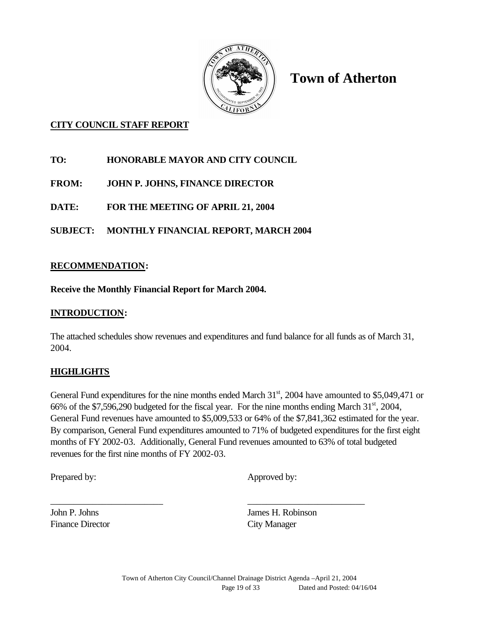

**Town of Atherton**

# **CITY COUNCIL STAFF REPORT**

**TO: HONORABLE MAYOR AND CITY COUNCIL**

**FROM: JOHN P. JOHNS, FINANCE DIRECTOR**

**DATE: FOR THE MEETING OF APRIL 21, 2004**

**SUBJECT: MONTHLY FINANCIAL REPORT, MARCH 2004**

## **RECOMMENDATION:**

**Receive the Monthly Financial Report for March 2004.**

### **INTRODUCTION:**

The attached schedules show revenues and expenditures and fund balance for all funds as of March 31, 2004.

### **HIGHLIGHTS**

General Fund expenditures for the nine months ended March  $31<sup>st</sup>$ , 2004 have amounted to \$5,049,471 or 66% of the \$7,596,290 budgeted for the fiscal year. For the nine months ending March  $31<sup>st</sup>$ , 2004, General Fund revenues have amounted to \$5,009,533 or 64% of the \$7,841,362 estimated for the year. By comparison, General Fund expenditures amounted to 71% of budgeted expenditures for the first eight months of FY 2002-03. Additionally, General Fund revenues amounted to 63% of total budgeted revenues for the first nine months of FY 2002-03.

\_\_\_\_\_\_\_\_\_\_\_\_\_\_\_\_\_\_\_\_\_\_\_\_ \_\_\_\_\_\_\_\_\_\_\_\_\_\_\_\_\_\_\_\_\_\_\_\_\_

Prepared by: Approved by:

Finance Director City Manager

John P. Johns James H. Robinson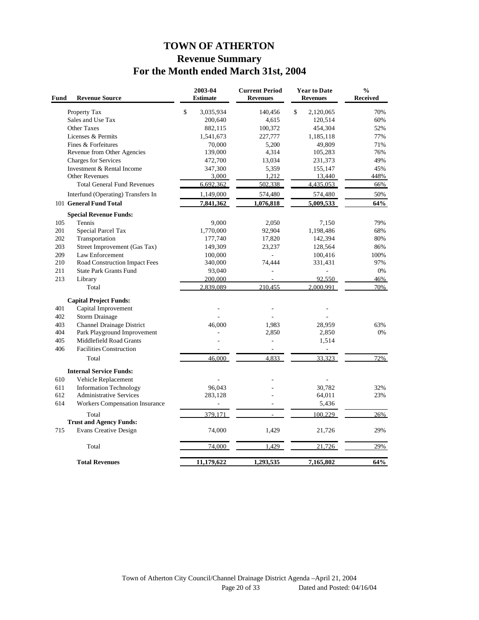# **TOWN OF ATHERTON Revenue Summary For the Month ended March 31st, 2004**

| Fund       | <b>Revenue Source</b>                                          | 2003-04<br><b>Estimate</b> | <b>Current Period</b><br><b>Revenues</b> | <b>Year to Date</b><br><b>Revenues</b> | $\frac{0}{0}$<br>Received |
|------------|----------------------------------------------------------------|----------------------------|------------------------------------------|----------------------------------------|---------------------------|
|            | Property Tax                                                   | \$<br>3,035,934            | 140,456                                  | \$<br>2,120,065                        | 70%                       |
|            | Sales and Use Tax                                              | 200,640                    | 4,615                                    | 120,514                                | 60%                       |
|            | <b>Other Taxes</b>                                             | 882,115                    | 100,372                                  | 454,304                                | 52%                       |
|            | Licenses & Permits                                             | 1,541,673                  | 227,777                                  | 1,185,118                              | 77%                       |
|            | Fines & Forfeitures                                            | 70,000                     | 5,200                                    | 49,809                                 | 71%                       |
|            | Revenue from Other Agencies                                    | 139,000                    | 4,314                                    | 105,283                                | 76%                       |
|            | <b>Charges for Services</b>                                    | 472,700                    | 13,034                                   | 231,373                                | 49%                       |
|            | Investment & Rental Income                                     | 347,300                    | 5,359                                    | 155,147                                | 45%                       |
|            | <b>Other Revenues</b>                                          | 3,000                      | 1,212                                    | 13,440                                 | 448%                      |
|            | <b>Total General Fund Revenues</b>                             | 6,692,362                  | 502,338                                  | 4,435,053                              | 66%                       |
|            | Interfund (Operating) Transfers In                             | 1,149,000                  | 574,480                                  | 574,480                                | 50%                       |
|            | 101 General Fund Total                                         | 7,841,362                  | 1,076,818                                | 5,009,533                              | 64%                       |
|            | <b>Special Revenue Funds:</b>                                  |                            |                                          |                                        |                           |
| 105        | Tennis                                                         | 9,000                      | 2,050                                    | 7,150                                  | 79%                       |
| 201        | Special Parcel Tax                                             | 1,770,000                  | 92,904                                   | 1,198,486                              | 68%                       |
| 202        | Transportation                                                 | 177,740                    | 17,820                                   | 142,394                                | 80%                       |
| 203        | Street Improvement (Gas Tax)                                   | 149,309                    | 23,237                                   | 128,564                                | 86%                       |
| 209<br>210 | Law Enforcement                                                | 100,000<br>340,000         | ä,<br>74,444                             | 100,416                                | 100%<br>97%               |
| 211        | Road Construction Impact Fees<br><b>State Park Grants Fund</b> | 93,040                     | ä,                                       | 331,431                                | 0%                        |
| 213        | Library                                                        | 200,000                    |                                          | 92.550                                 | 46%                       |
|            | Total                                                          | 2,839,089                  | 210,455                                  | 2.000.991                              | 70%                       |
|            |                                                                |                            |                                          |                                        |                           |
| 401        | <b>Capital Project Funds:</b><br>Capital Improvement           |                            | ÷,                                       |                                        |                           |
| 402        | Storm Drainage                                                 |                            |                                          |                                        |                           |
| 403        | Channel Drainage District                                      | 46,000                     | 1,983                                    | 28,959                                 | 63%                       |
| 404        | Park Playground Improvement                                    |                            | 2,850                                    | 2,850                                  | 0%                        |
| 405        | Middlefield Road Grants                                        |                            | L,                                       | 1,514                                  |                           |
| 406        | <b>Facilities Construction</b>                                 |                            | $\overline{\phantom{a}}$                 |                                        |                           |
|            | Total                                                          | 46,000                     | 4.833                                    | 33,323                                 | 72%                       |
|            | <b>Internal Service Funds:</b>                                 |                            |                                          |                                        |                           |
| 610        | Vehicle Replacement                                            |                            |                                          |                                        |                           |
| 611        | <b>Information Technology</b>                                  | 96,043                     |                                          | 30.782                                 | 32%                       |
| 612        | <b>Administrative Services</b>                                 | 283,128                    |                                          | 64,011                                 | 23%                       |
| 614        | Workers Compensation Insurance                                 |                            |                                          | 5,436                                  |                           |
|            | Total                                                          | 379.171                    |                                          | 100.229                                | 26%                       |
|            | <b>Trust and Agency Funds:</b>                                 |                            |                                          |                                        |                           |
| 715        | <b>Evans Creative Design</b>                                   | 74,000                     | 1,429                                    | 21,726                                 | 29%                       |
|            | Total                                                          | 74,000                     | 1,429                                    | 21,726                                 | 29%                       |
|            | <b>Total Revenues</b>                                          | 11,179,622                 | 1,293,535                                | 7,165,802                              | 64%                       |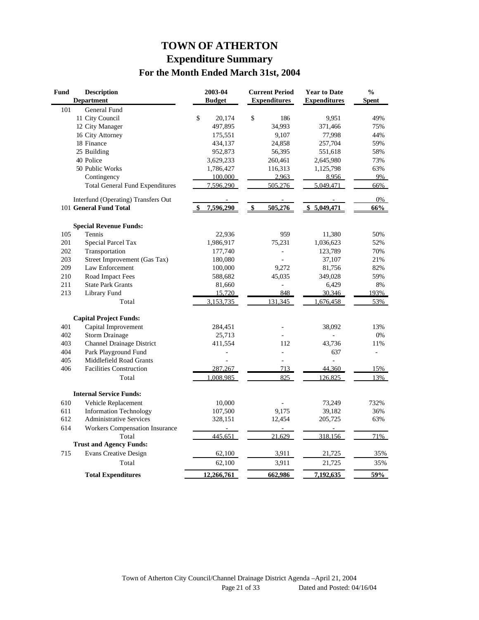# **TOWN OF ATHERTON Expenditure Summary For the Month Ended March 31st, 2004**

| Fund | <b>Description</b><br><b>Department</b> | 2003-04<br><b>Budget</b> | <b>Current Period</b><br><b>Expenditures</b> | <b>Year to Date</b><br><b>Expenditures</b> | $\frac{0}{0}$<br><b>Spent</b> |
|------|-----------------------------------------|--------------------------|----------------------------------------------|--------------------------------------------|-------------------------------|
| 101  | General Fund                            |                          |                                              |                                            |                               |
|      | 11 City Council                         | \$<br>20,174             | \$<br>186                                    | 9,951                                      | 49%                           |
|      | 12 City Manager                         | 497,895                  | 34,993                                       | 371,466                                    | 75%                           |
|      | 16 City Attorney                        | 175,551                  | 9,107                                        | 77,998                                     | 44%                           |
|      | 18 Finance                              | 434,137                  | 24,858                                       | 257,704                                    | 59%                           |
|      | 25 Building                             | 952,873                  | 56,395                                       | 551,618                                    | 58%                           |
|      | 40 Police                               | 3,629,233                | 260,461                                      | 2,645,980                                  | 73%                           |
|      | 50 Public Works                         | 1,786,427                | 116,313                                      | 1,125,798                                  | 63%                           |
|      | Contingency                             | 100,000                  | 2,963                                        | 8.956                                      | 9%                            |
|      | <b>Total General Fund Expenditures</b>  | 7,596,290                | 505,276                                      | 5,049,471                                  | 66%                           |
|      | Interfund (Operating) Transfers Out     |                          |                                              |                                            | 0%                            |
|      | 101 General Fund Total                  | 7,596,290                | 505,276<br>$\boldsymbol{\mathsf{s}}$         | 5,049,471<br>\$                            | 66%                           |
|      | <b>Special Revenue Funds:</b>           |                          |                                              |                                            |                               |
| 105  | Tennis                                  | 22,936                   | 959                                          | 11,380                                     | 50%                           |
| 201  | Special Parcel Tax                      | 1,986,917                | 75,231                                       | 1,036,623                                  | 52%                           |
| 202  | Transportation                          | 177,740                  | ÷,                                           | 123,789                                    | 70%                           |
| 203  | Street Improvement (Gas Tax)            | 180,080                  |                                              | 37,107                                     | 21%                           |
| 209  | Law Enforcement                         | 100,000                  | 9,272                                        | 81,756                                     | 82%                           |
| 210  | Road Impact Fees                        | 588,682                  | 45,035                                       | 349,028                                    | 59%                           |
| 211  | <b>State Park Grants</b>                | 81,660                   |                                              | 6,429                                      | 8%                            |
| 213  | Library Fund                            | 15,720                   | 848                                          | 30,346                                     | 193%                          |
|      | Total                                   | 3,153,735                | 131, 345                                     | 676,458                                    | 53%                           |
|      | <b>Capital Project Funds:</b>           |                          |                                              |                                            |                               |
| 401  | Capital Improvement                     | 284,451                  |                                              | 38,092                                     | 13%                           |
| 402  | <b>Storm Drainage</b>                   | 25,713                   |                                              |                                            | 0%                            |
| 403  | <b>Channel Drainage District</b>        | 411,554                  | 112                                          | 43,736                                     | 11%                           |
| 404  | Park Playground Fund                    |                          | $\overline{a}$                               | 637                                        | $\overline{a}$                |
| 405  | Middlefield Road Grants                 |                          |                                              | $\overline{a}$                             |                               |
| 406  | <b>Facilities Construction</b>          | 287,267                  | 713                                          | 44,360                                     | 15%                           |
|      | Total                                   | .008.985                 | 825                                          | 126,825                                    | 13%                           |
|      | <b>Internal Service Funds:</b>          |                          |                                              |                                            |                               |
| 610  | Vehicle Replacement                     | 10,000                   |                                              | 73,249                                     | 732%                          |
| 611  | <b>Information Technology</b>           | 107,500                  | 9,175                                        | 39,182                                     | 36%                           |
| 612  | <b>Administrative Services</b>          | 328,151                  | 12,454                                       | 205,725                                    | 63%                           |
| 614  | <b>Workers Compensation Insurance</b>   |                          |                                              |                                            |                               |
|      | Total                                   | 445,651                  | 21,629                                       | 318,156                                    | 71%                           |
|      | <b>Trust and Agency Funds:</b>          |                          |                                              |                                            |                               |
| 715  | <b>Evans Creative Design</b>            | 62,100                   | 3,911                                        | 21,725                                     | 35%                           |
|      | Total                                   | 62,100                   | 3,911                                        | 21,725                                     | 35%                           |
|      | <b>Total Expenditures</b>               | 12,266,761               | 662,986                                      | 7,192,635                                  | 59%                           |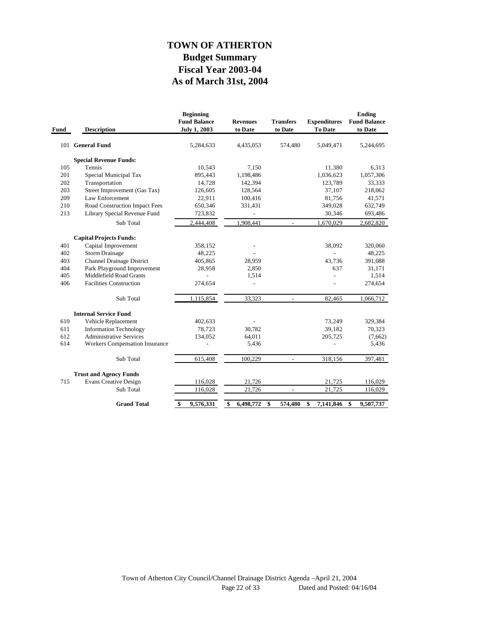# **As of March 31st, 2004 Fiscal Year 2003-04 Budget Summary TOWN OF ATHERTON**

| Fund | <b>Description</b>                    | <b>Beginning</b><br><b>Fund Balance</b><br><b>July 1, 2003</b> | <b>Revenues</b><br>to Date | <b>Transfers</b><br>to Date | <b>Expenditures</b><br>To Date | <b>Ending</b><br><b>Fund Balance</b><br>to Date |
|------|---------------------------------------|----------------------------------------------------------------|----------------------------|-----------------------------|--------------------------------|-------------------------------------------------|
|      | 101 General Fund                      | 5,284,633                                                      | 4,435,053                  | 574,480                     | 5,049,471                      | 5,244,695                                       |
|      | <b>Special Revenue Funds:</b>         |                                                                |                            |                             |                                |                                                 |
| 105  | Tennis                                | 10,543                                                         | 7,150                      |                             | 11,380                         | 6,313                                           |
| 201  | Special Municipal Tax                 | 895,443                                                        | 1,198,486                  |                             | 1,036,623                      | 1,057,306                                       |
| 202  | Transportation                        | 14,728                                                         | 142,394                    |                             | 123,789                        | 33,333                                          |
| 203  | Street Improvement (Gas Tax)          | 126,605                                                        | 128,564                    |                             | 37,107                         | 218,062                                         |
| 209  | Law Enforcement                       | 22,911                                                         | 100,416                    |                             | 81,756                         | 41,571                                          |
| 210  | Road Construction Impact Fees         | 650,346                                                        | 331,431                    |                             | 349,028                        | 632,749                                         |
| 213  | Library Special Revenue Fund          | 723,832                                                        |                            |                             | 30,346                         | 693,486                                         |
|      | Sub Total                             | 2,444,408                                                      | 1,908,441                  | $\overline{\phantom{a}}$    | 1,670,029                      | 2,682,820                                       |
|      | <b>Capital Projects Funds:</b>        |                                                                |                            |                             |                                |                                                 |
| 401  | Capital Improvement                   | 358,152                                                        |                            |                             | 38,092                         | 320,060                                         |
| 402  | <b>Storm Drainage</b>                 | 48,225                                                         |                            |                             |                                | 48,225                                          |
| 403  | <b>Channel Drainage District</b>      | 405,865                                                        | 28,959                     |                             | 43,736                         | 391,088                                         |
| 404  | Park Playground Improvement           | 28,958                                                         | 2,850                      |                             | 637                            | 31,171                                          |
| 405  | Middlefield Road Grants               |                                                                | 1,514                      |                             |                                | 1,514                                           |
| 406  | <b>Facilities Construction</b>        | 274,654                                                        |                            |                             |                                | 274,654                                         |
|      | Sub Total                             | 1,115,854                                                      | 33,323                     | $\overline{a}$              | 82,465                         | 1,066,712                                       |
|      | <b>Internal Service Fund</b>          |                                                                |                            |                             |                                |                                                 |
| 610  | Vehicle Replacement                   | 402,633                                                        |                            |                             | 73,249                         | 329,384                                         |
| 611  | <b>Information Technology</b>         | 78,723                                                         | 30,782                     |                             | 39,182                         | 70,323                                          |
| 612  | <b>Administrative Services</b>        | 134,052                                                        | 64,011                     |                             | 205,725                        | (7,662)                                         |
| 614  | <b>Workers Compensation Insurance</b> |                                                                | 5,436                      |                             |                                | 5,436                                           |
|      | Sub Total                             | 615,408                                                        | 100,229                    | $\overline{a}$              | 318,156                        | 397,481                                         |
|      | <b>Trust and Agency Funds</b>         |                                                                |                            |                             |                                |                                                 |
| 715  | <b>Evans Creative Design</b>          | 116,028                                                        | 21,726                     |                             | 21,725                         | 116,029                                         |
|      | Sub Total                             | 116,028                                                        | 21,726                     | $\overline{a}$              | 21,725                         | 116,029                                         |
|      | <b>Grand Total</b>                    | \$<br>9,576,331                                                | \$<br>6,498,772            | \$<br>574,480               | \$<br>7,141,846                | \$<br>9,507,737                                 |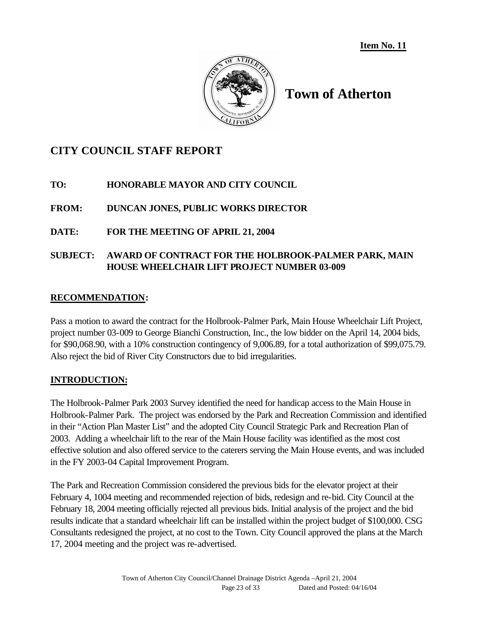**Item No. 11**



# **Town of Atherton**

# **CITY COUNCIL STAFF REPORT**

**TO: HONORABLE MAYOR AND CITY COUNCIL**

**FROM: DUNCAN JONES, PUBLIC WORKS DIRECTOR**

## **DATE: FOR THE MEETING OF APRIL 21, 2004**

# **SUBJECT: AWARD OF CONTRACT FOR THE HOLBROOK-PALMER PARK, MAIN HOUSE WHEELCHAIR LIFT PROJECT NUMBER 03-009**

### **RECOMMENDATION:**

Pass a motion to award the contract for the Holbrook-Palmer Park, Main House Wheelchair Lift Project, project number 03-009 to George Bianchi Construction, Inc., the low bidder on the April 14, 2004 bids, for \$90,068.90, with a 10% construction contingency of 9,006.89, for a total authorization of \$99,075.79. Also reject the bid of River City Constructors due to bid irregularities.

### **INTRODUCTION:**

The Holbrook-Palmer Park 2003 Survey identified the need for handicap access to the Main House in Holbrook-Palmer Park. The project was endorsed by the Park and Recreation Commission and identified in their "Action Plan Master List" and the adopted City Council Strategic Park and Recreation Plan of 2003. Adding a wheelchair lift to the rear of the Main House facility was identified as the most cost effective solution and also offered service to the caterers serving the Main House events, and was included in the FY 2003-04 Capital Improvement Program.

The Park and Recreation Commission considered the previous bids for the elevator project at their February 4, 1004 meeting and recommended rejection of bids, redesign and re-bid. City Council at the February 18, 2004 meeting officially rejected all previous bids. Initial analysis of the project and the bid results indicate that a standard wheelchair lift can be installed within the project budget of \$100,000. CSG Consultants redesigned the project, at no cost to the Town. City Council approved the plans at the March 17, 2004 meeting and the project was re-advertised.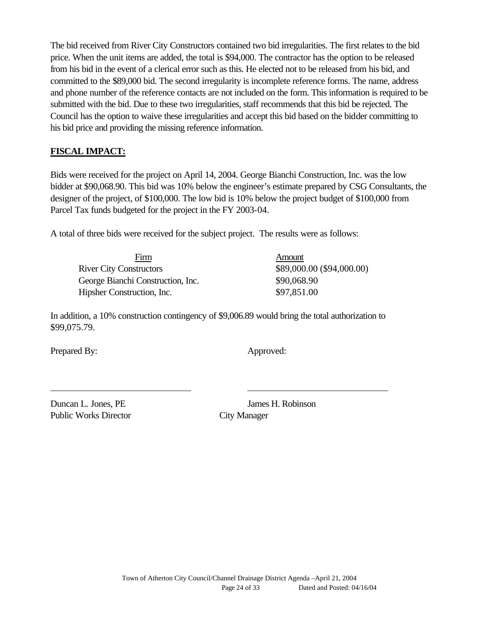The bid received from River City Constructors contained two bid irregularities. The first relates to the bid price. When the unit items are added, the total is \$94,000. The contractor has the option to be released from his bid in the event of a clerical error such as this. He elected not to be released from his bid, and committed to the \$89,000 bid. The second irregularity is incomplete reference forms. The name, address and phone number of the reference contacts are not included on the form. This information is required to be submitted with the bid. Due to these two irregularities, staff recommends that this bid be rejected. The Council has the option to waive these irregularities and accept this bid based on the bidder committing to his bid price and providing the missing reference information.

# **FISCAL IMPACT:**

Bids were received for the project on April 14, 2004. George Bianchi Construction, Inc. was the low bidder at \$90,068.90. This bid was 10% below the engineer's estimate prepared by CSG Consultants, the designer of the project, of \$100,000. The low bid is 10% below the project budget of \$100,000 from Parcel Tax funds budgeted for the project in the FY 2003-04.

A total of three bids were received for the subject project. The results were as follows:

| Firm                              | Amount                    |
|-----------------------------------|---------------------------|
| <b>River City Constructors</b>    | \$89,000.00 (\$94,000.00) |
| George Bianchi Construction, Inc. | \$90,068.90               |
| Hipsher Construction, Inc.        | \$97,851.00               |

In addition, a 10% construction contingency of \$9,006.89 would bring the total authorization to \$99,075.79.

Prepared By: Approved:

Duncan L. Jones, PE James H. Robinson Public Works Director City Manager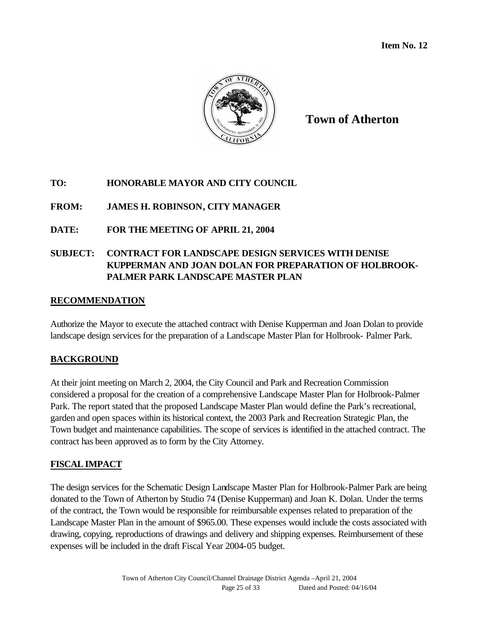

**Town of Atherton**

# **TO: HONORABLE MAYOR AND CITY COUNCIL**

# **FROM: JAMES H. ROBINSON, CITY MANAGER**

# **DATE: FOR THE MEETING OF APRIL 21, 2004**

# **SUBJECT: CONTRACT FOR LANDSCAPE DESIGN SERVICES WITH DENISE KUPPERMAN AND JOAN DOLAN FOR PREPARATION OF HOLBROOK-PALMER PARK LANDSCAPE MASTER PLAN**

### **RECOMMENDATION**

Authorize the Mayor to execute the attached contract with Denise Kupperman and Joan Dolan to provide landscape design services for the preparation of a Landscape Master Plan for Holbrook- Palmer Park.

### **BACKGROUND**

At their joint meeting on March 2, 2004, the City Council and Park and Recreation Commission considered a proposal for the creation of a comprehensive Landscape Master Plan for Holbrook-Palmer Park. The report stated that the proposed Landscape Master Plan would define the Park's recreational, garden and open spaces within its historical context, the 2003 Park and Recreation Strategic Plan, the Town budget and maintenance capabilities. The scope of services is identified in the attached contract. The contract has been approved as to form by the City Attorney.

# **FISCALIMPACT**

The design services for the Schematic Design Landscape Master Plan for Holbrook-Palmer Park are being donated to the Town of Atherton by Studio 74 (Denise Kupperman) and Joan K. Dolan. Under the terms of the contract, the Town would be responsible for reimbursable expenses related to preparation of the Landscape Master Plan in the amount of \$965.00. These expenses would include the costs associated with drawing, copying, reproductions of drawings and delivery and shipping expenses. Reimbursement of these expenses will be included in the draft Fiscal Year 2004-05 budget.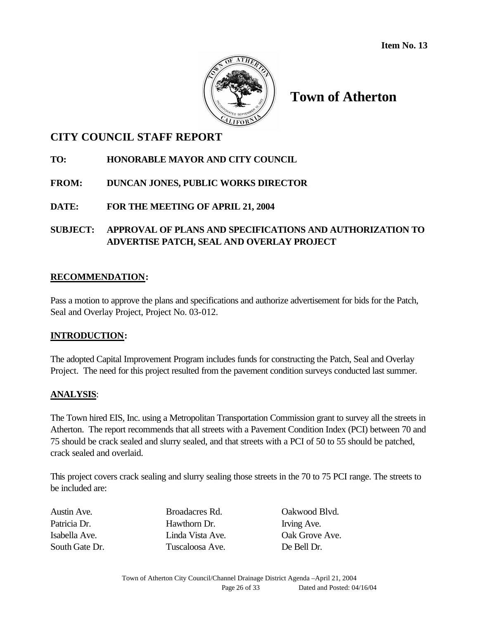

# **Town of Atherton**

# **CITY COUNCIL STAFF REPORT**

# **TO: HONORABLE MAYOR AND CITY COUNCIL**

# **FROM: DUNCAN JONES, PUBLIC WORKS DIRECTOR**

# **DATE: FOR THE MEETING OF APRIL 21, 2004**

# **SUBJECT: APPROVAL OF PLANS AND SPECIFICATIONS AND AUTHORIZATION TO ADVERTISE PATCH, SEAL AND OVERLAY PROJECT**

### **RECOMMENDATION:**

Pass a motion to approve the plans and specifications and authorize advertisement for bids for the Patch, Seal and Overlay Project, Project No. 03-012.

### **INTRODUCTION:**

The adopted Capital Improvement Program includes funds for constructing the Patch, Seal and Overlay Project. The need for this project resulted from the pavement condition surveys conducted last summer.

### **ANALYSIS**:

The Town hired EIS, Inc. using a Metropolitan Transportation Commission grant to survey all the streets in Atherton. The report recommends that all streets with a Pavement Condition Index (PCI) between 70 and 75 should be crack sealed and slurry sealed, and that streets with a PCI of 50 to 55 should be patched, crack sealed and overlaid.

This project covers crack sealing and slurry sealing those streets in the 70 to 75 PCI range. The streets to be included are:

**Patricia Pressure Pressure Property** Pressure Pressure Pressure Pressure Pressure Pressure Pressure Pressure Pressure Pressure Pressure Pressure Pressure Pressure Pressure Pressure Pressure Pressure Pressure Pressure Pres Tuscaloosa Ave. De Bell Dr.

Broadacres Rd. **Cakwood Blvd.** Linda Vista Ave. Oak Grove Ave.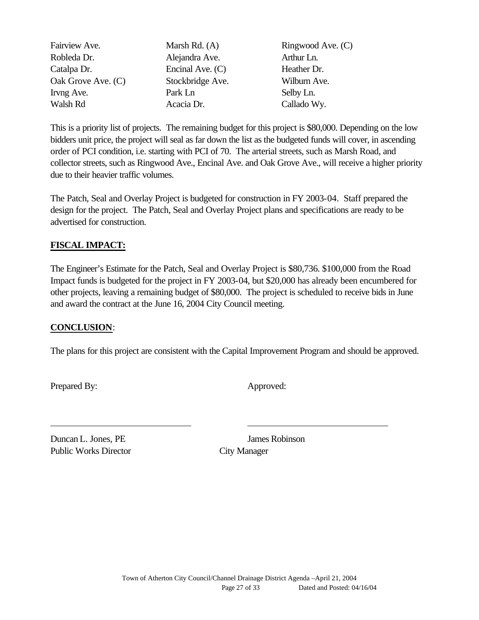| Fairview Ave.      | Marsh Rd. $(A)$  | Ringwood Ave. (C) |
|--------------------|------------------|-------------------|
| Robleda Dr.        | Alejandra Ave.   | Arthur Ln.        |
| Catalpa Dr.        | Encinal Ave. (C) | Heather Dr.       |
| Oak Grove Ave. (C) | Stockbridge Ave. | Wilburn Ave.      |
| Irvng Ave.         | Park Ln          | Selby Ln.         |
| Walsh Rd           | Acacia Dr.       | Callado Wy.       |

This is a priority list of projects. The remaining budget for this project is \$80,000. Depending on the low bidders unit price, the project will seal as far down the list as the budgeted funds will cover, in ascending order of PCI condition, i.e. starting with PCI of 70. The arterial streets, such as Marsh Road, and collector streets, such as Ringwood Ave., Encinal Ave. and Oak Grove Ave., will receive a higher priority due to their heavier traffic volumes.

The Patch, Seal and Overlay Project is budgeted for construction in FY 2003-04. Staff prepared the design for the project. The Patch, Seal and Overlay Project plans and specifications are ready to be advertised for construction.

# **FISCAL IMPACT:**

The Engineer's Estimate for the Patch, Seal and Overlay Project is \$80,736. \$100,000 from the Road Impact funds is budgeted for the project in FY 2003-04, but \$20,000 has already been encumbered for other projects, leaving a remaining budget of \$80,000. The project is scheduled to receive bids in June and award the contract at the June 16, 2004 City Council meeting.

### **CONCLUSION**:

The plans for this project are consistent with the Capital Improvement Program and should be approved.

Prepared By: Approved:

Duncan L. Jones, PE James Robinson Public Works Director City Manager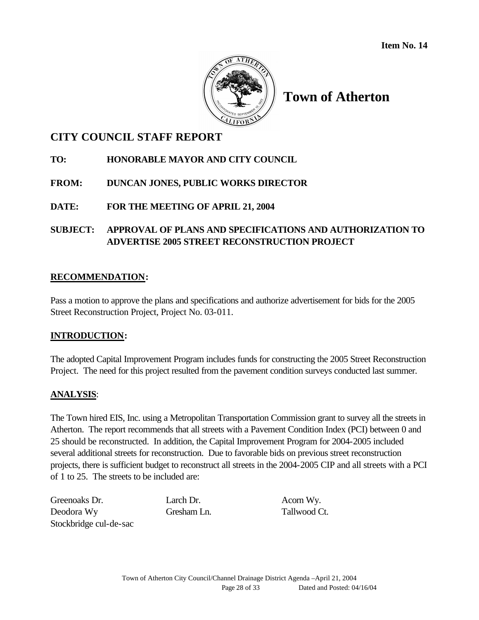

# **Town of Atherton**

# **CITY COUNCIL STAFF REPORT**

# **TO: HONORABLE MAYOR AND CITY COUNCIL**

# **FROM: DUNCAN JONES, PUBLIC WORKS DIRECTOR**

# **DATE: FOR THE MEETING OF APRIL 21, 2004**

## **SUBJECT: APPROVAL OF PLANS AND SPECIFICATIONS AND AUTHORIZATION TO ADVERTISE 2005 STREET RECONSTRUCTION PROJECT**

### **RECOMMENDATION:**

Pass a motion to approve the plans and specifications and authorize advertisement for bids for the 2005 Street Reconstruction Project, Project No. 03-011.

### **INTRODUCTION:**

The adopted Capital Improvement Program includes funds for constructing the 2005 Street Reconstruction Project. The need for this project resulted from the pavement condition surveys conducted last summer.

### **ANALYSIS**:

The Town hired EIS, Inc. using a Metropolitan Transportation Commission grant to survey all the streets in Atherton. The report recommends that all streets with a Pavement Condition Index (PCI) between 0 and 25 should be reconstructed. In addition, the Capital Improvement Program for 2004-2005 included several additional streets for reconstruction. Due to favorable bids on previous street reconstruction projects, there is sufficient budget to reconstruct all streets in the 2004-2005 CIP and all streets with a PCI of 1 to 25. The streets to be included are:

Greenoaks Dr. Larch Dr. Acorn Wy. Deodora Wy Gresham Ln. Tallwood Ct. Stockbridge cul-de-sac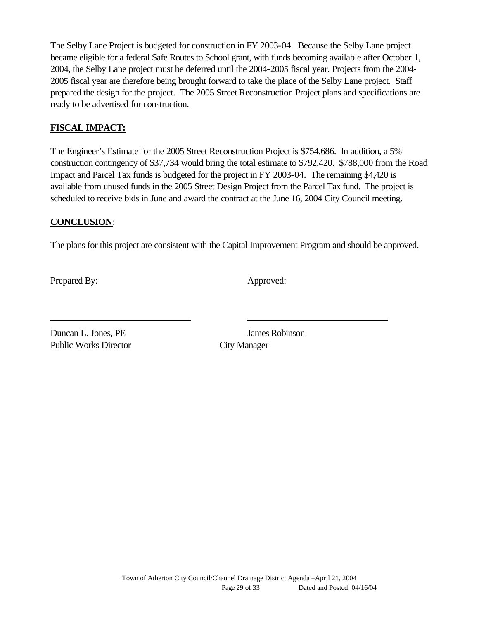The Selby Lane Project is budgeted for construction in FY 2003-04. Because the Selby Lane project became eligible for a federal Safe Routes to School grant, with funds becoming available after October 1, 2004, the Selby Lane project must be deferred until the 2004-2005 fiscal year. Projects from the 2004- 2005 fiscal year are therefore being brought forward to take the place of the Selby Lane project. Staff prepared the design for the project. The 2005 Street Reconstruction Project plans and specifications are ready to be advertised for construction.

### **FISCAL IMPACT:**

The Engineer's Estimate for the 2005 Street Reconstruction Project is \$754,686. In addition, a 5% construction contingency of \$37,734 would bring the total estimate to \$792,420. \$788,000 from the Road Impact and Parcel Tax funds is budgeted for the project in FY 2003-04. The remaining \$4,420 is available from unused funds in the 2005 Street Design Project from the Parcel Tax fund. The project is scheduled to receive bids in June and award the contract at the June 16, 2004 City Council meeting.

### **CONCLUSION**:

The plans for this project are consistent with the Capital Improvement Program and should be approved.

Prepared By: Approved:

Duncan L. Jones, PE James Robinson Public Works Director City Manager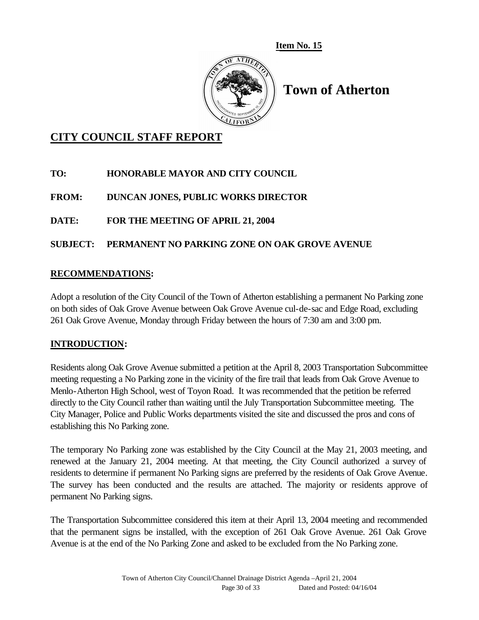**Item No. 15**



# **Town of Atherton**

# **CITY COUNCIL STAFF REPORT**

# **TO: HONORABLE MAYOR AND CITY COUNCIL**

**FROM: DUNCAN JONES, PUBLIC WORKS DIRECTOR**

# **DATE: FOR THE MEETING OF APRIL 21, 2004**

# **SUBJECT: PERMANENT NO PARKING ZONE ON OAK GROVE AVENUE**

# **RECOMMENDATIONS:**

Adopt a resolution of the City Council of the Town of Atherton establishing a permanent No Parking zone on both sides of Oak Grove Avenue between Oak Grove Avenue cul-de-sac and Edge Road, excluding 261 Oak Grove Avenue, Monday through Friday between the hours of 7:30 am and 3:00 pm.

### **INTRODUCTION:**

Residents along Oak Grove Avenue submitted a petition at the April 8, 2003 Transportation Subcommittee meeting requesting a No Parking zone in the vicinity of the fire trail that leads from Oak Grove Avenue to Menlo-Atherton High School, west of Toyon Road. It was recommended that the petition be referred directly to the City Council rather than waiting until the July Transportation Subcommittee meeting. The City Manager, Police and Public Works departments visited the site and discussed the pros and cons of establishing this No Parking zone.

The temporary No Parking zone was established by the City Council at the May 21, 2003 meeting, and renewed at the January 21, 2004 meeting. At that meeting, the City Council authorized a survey of residents to determine if permanent No Parking signs are preferred by the residents of Oak Grove Avenue. The survey has been conducted and the results are attached. The majority or residents approve of permanent No Parking signs.

The Transportation Subcommittee considered this item at their April 13, 2004 meeting and recommended that the permanent signs be installed, with the exception of 261 Oak Grove Avenue. 261 Oak Grove Avenue is at the end of the No Parking Zone and asked to be excluded from the No Parking zone.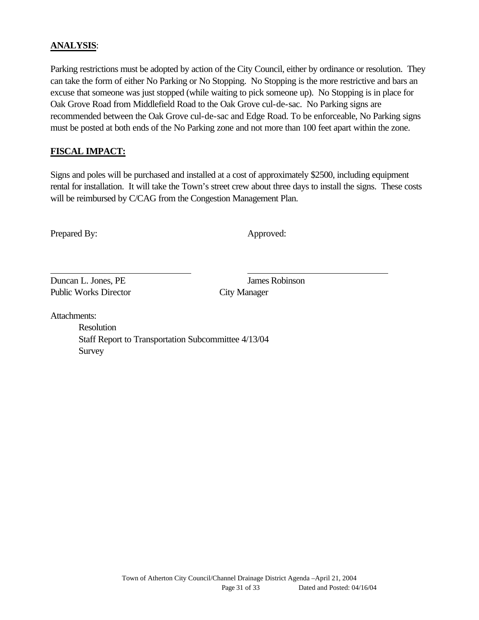### **ANALYSIS**:

Parking restrictions must be adopted by action of the City Council, either by ordinance or resolution. They can take the form of either No Parking or No Stopping. No Stopping is the more restrictive and bars an excuse that someone was just stopped (while waiting to pick someone up). No Stopping is in place for Oak Grove Road from Middlefield Road to the Oak Grove cul-de-sac. No Parking signs are recommended between the Oak Grove cul-de-sac and Edge Road. To be enforceable, No Parking signs must be posted at both ends of the No Parking zone and not more than 100 feet apart within the zone.

### **FISCAL IMPACT:**

Signs and poles will be purchased and installed at a cost of approximately \$2500, including equipment rental for installation. It will take the Town's street crew about three days to install the signs. These costs will be reimbursed by C/CAG from the Congestion Management Plan.

Prepared By: Approved:

Duncan L. Jones, PE James Robinson Public Works Director City Manager

Attachments:

Resolution Staff Report to Transportation Subcommittee 4/13/04 Survey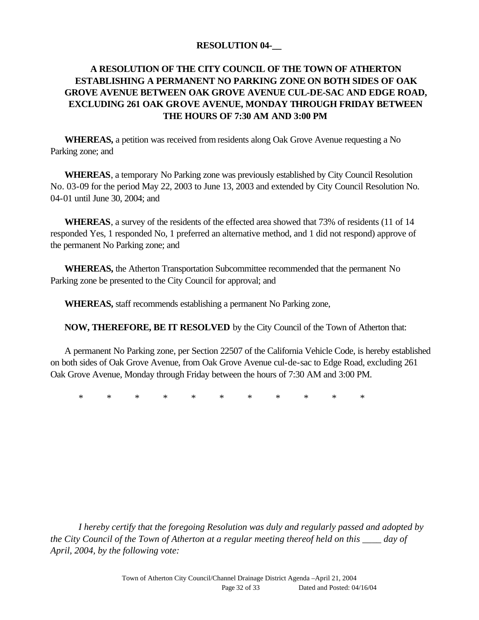### **RESOLUTION 04-\_\_**

# **A RESOLUTION OF THE CITY COUNCIL OF THE TOWN OF ATHERTON ESTABLISHING A PERMANENT NO PARKING ZONE ON BOTH SIDES OF OAK GROVE AVENUE BETWEEN OAK GROVE AVENUE CUL-DE-SAC AND EDGE ROAD, EXCLUDING 261 OAK GROVE AVENUE, MONDAY THROUGH FRIDAY BETWEEN THE HOURS OF 7:30 AM AND 3:00 PM**

**WHEREAS,** a petition was received from residents along Oak Grove Avenue requesting a No Parking zone; and

**WHEREAS**, a temporary No Parking zone was previously established by City Council Resolution No. 03-09 for the period May 22, 2003 to June 13, 2003 and extended by City Council Resolution No. 04-01 until June 30, 2004; and

**WHEREAS**, a survey of the residents of the effected area showed that 73% of residents (11 of 14 responded Yes, 1 responded No, 1 preferred an alternative method, and 1 did not respond) approve of the permanent No Parking zone; and

**WHEREAS,** the Atherton Transportation Subcommittee recommended that the permanent No Parking zone be presented to the City Council for approval; and

**WHEREAS,** staff recommends establishing a permanent No Parking zone,

**NOW, THEREFORE, BE IT RESOLVED** by the City Council of the Town of Atherton that:

A permanent No Parking zone, per Section 22507 of the California Vehicle Code, is hereby established on both sides of Oak Grove Avenue, from Oak Grove Avenue cul-de-sac to Edge Road, excluding 261 Oak Grove Avenue, Monday through Friday between the hours of 7:30 AM and 3:00 PM.

\* \* \* \* \* \* \* \* \* \* \*

*I hereby certify that the foregoing Resolution was duly and regularly passed and adopted by the City Council of the Town of Atherton at a regular meeting thereof held on this \_\_\_\_ day of April, 2004, by the following vote:*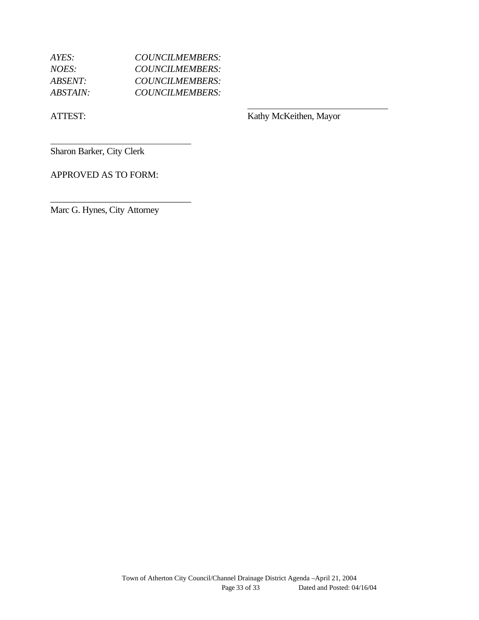| $AYES^+$               | COUNCILMEMBERS:        |
|------------------------|------------------------|
| NOES:                  | COUNCILMEMBERS:        |
| <i>ABSENT:</i>         | <b>COUNCILMEMBERS:</b> |
| <i><b>ABSTAIN:</b></i> | COUNCILMEMBERS:        |

ATTEST: Kathy McKeithen, Mayor

Sharon Barker, City Clerk

APPROVED AS TO FORM:

Marc G. Hynes, City Attorney

\_\_\_\_\_\_\_\_\_\_\_\_\_\_\_\_\_\_\_\_\_\_\_\_\_\_\_\_\_\_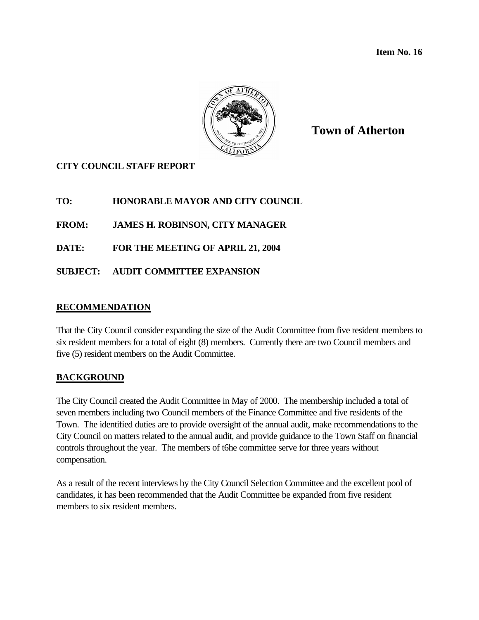**Item No. 16**



**Town of Atherton**

# **CITY COUNCIL STAFF REPORT**

**TO: HONORABLE MAYOR AND CITY COUNCIL**

**FROM: JAMES H. ROBINSON, CITY MANAGER**

**DATE: FOR THE MEETING OF APRIL 21, 2004**

**SUBJECT: AUDIT COMMITTEE EXPANSION** 

### **RECOMMENDATION**

That the City Council consider expanding the size of the Audit Committee from five resident members to six resident members for a total of eight (8) members. Currently there are two Council members and five (5) resident members on the Audit Committee.

### **BACKGROUND**

The City Council created the Audit Committee in May of 2000. The membership included a total of seven members including two Council members of the Finance Committee and five residents of the Town. The identified duties are to provide oversight of the annual audit, make recommendations to the City Council on matters related to the annual audit, and provide guidance to the Town Staff on financial controls throughout the year. The members of t6he committee serve for three years without compensation.

As a result of the recent interviews by the City Council Selection Committee and the excellent pool of candidates, it has been recommended that the Audit Committee be expanded from five resident members to six resident members.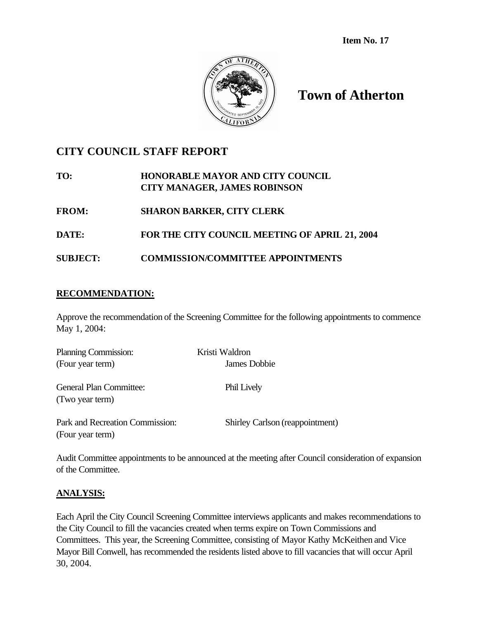

# **Town of Atherton**

# **CITY COUNCIL STAFF REPORT**

| TO:   | <b>HONORABLE MAYOR AND CITY COUNCIL</b><br><b>CITY MANAGER, JAMES ROBINSON</b> |
|-------|--------------------------------------------------------------------------------|
| FROM: | <b>SHARON BARKER, CITY CLERK</b>                                               |
| -     | BOD BUD AUST AOISIAU LIBRELA OB LINU                                           |

- **DATE: FOR THE CITY COUNCIL MEETING OF APRIL 21, 2004**
- **SUBJECT: COMMISSION/COMMITTEE APPOINTMENTS**

# **RECOMMENDATION:**

Approve the recommendation of the Screening Committee for the following appointments to commence May 1, 2004:

| Planning Commission:                                | Kristi Waldron                  |
|-----------------------------------------------------|---------------------------------|
| (Four year term)                                    | James Dobbie                    |
| General Plan Committee:<br>(Two year term)          | Phil Lively                     |
| Park and Recreation Commission:<br>(Four year term) | Shirley Carlson (reappointment) |

Audit Committee appointments to be announced at the meeting after Council consideration of expansion of the Committee.

# **ANALYSIS:**

Each April the City Council Screening Committee interviews applicants and makes recommendations to the City Council to fill the vacancies created when terms expire on Town Commissions and Committees. This year, the Screening Committee, consisting of Mayor Kathy McKeithen and Vice Mayor Bill Conwell, has recommended the residents listed above to fill vacancies that will occur April 30, 2004.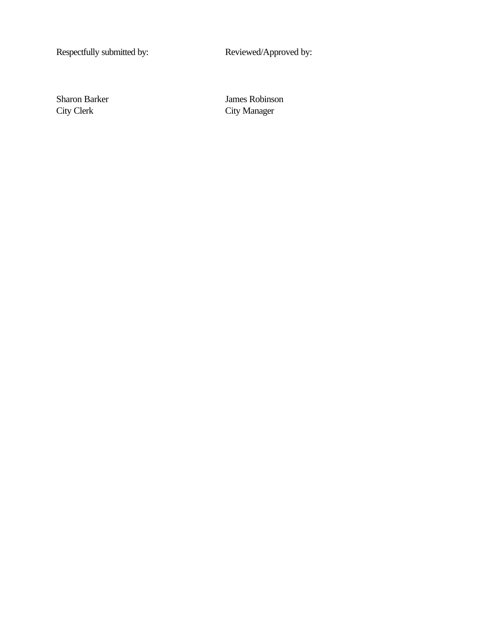Respectfully submitted by: Reviewed/Approved by:

Sharon Barker James Robinson<br>City Clerk City Manager City Manager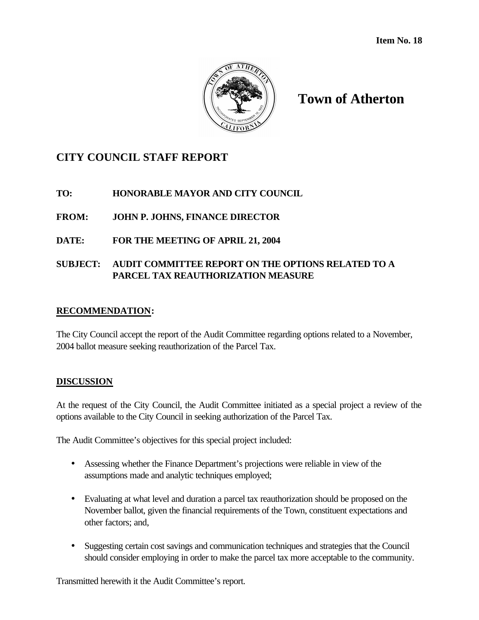

# **Town of Atherton**

# **CITY COUNCIL STAFF REPORT**

# **TO: HONORABLE MAYOR AND CITY COUNCIL**

# **FROM: JOHN P. JOHNS, FINANCE DIRECTOR**

## **DATE: FOR THE MEETING OF APRIL 21, 2004**

## **SUBJECT: AUDIT COMMITTEE REPORT ON THE OPTIONS RELATED TO A PARCEL TAX REAUTHORIZATION MEASURE**

### **RECOMMENDATION:**

The City Council accept the report of the Audit Committee regarding options related to a November, 2004 ballot measure seeking reauthorization of the Parcel Tax.

### **DISCUSSION**

At the request of the City Council, the Audit Committee initiated as a special project a review of the options available to the City Council in seeking authorization of the Parcel Tax.

The Audit Committee's objectives for this special project included:

- Assessing whether the Finance Department's projections were reliable in view of the assumptions made and analytic techniques employed;
- Evaluating at what level and duration a parcel tax reauthorization should be proposed on the November ballot, given the financial requirements of the Town, constituent expectations and other factors; and,
- Suggesting certain cost savings and communication techniques and strategies that the Council should consider employing in order to make the parcel tax more acceptable to the community.

Transmitted herewith it the Audit Committee's report.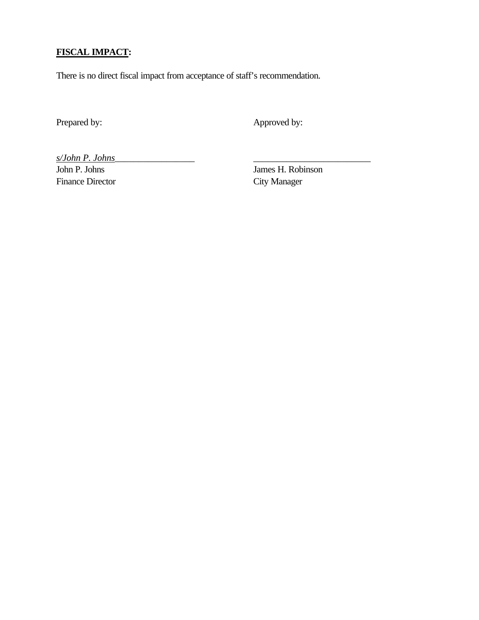# **FISCAL IMPACT:**

There is no direct fiscal impact from acceptance of staff's recommendation.

Prepared by: Approved by:

*s/John P. Johns*\_\_\_\_\_\_\_\_\_\_\_\_\_\_\_\_\_ \_\_\_\_\_\_\_\_\_\_\_\_\_\_\_\_\_\_\_\_\_\_\_\_\_

Finance Director City Manager

James H. Robinson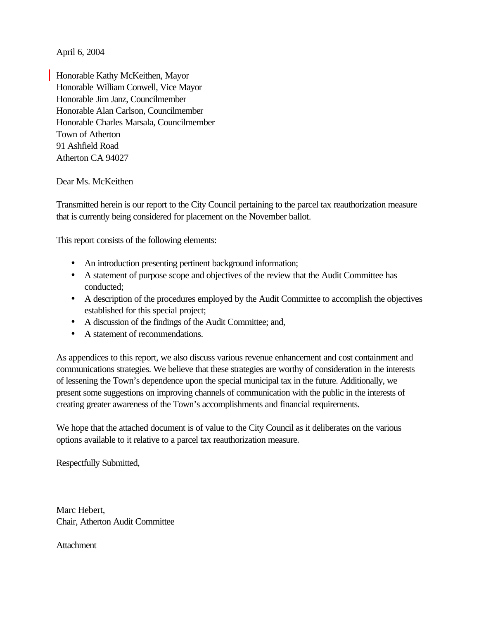April 6, 2004

Honorable Kathy McKeithen, Mayor Honorable William Conwell, Vice Mayor Honorable Jim Janz, Councilmember Honorable Alan Carlson, Councilmember Honorable Charles Marsala, Councilmember Town of Atherton 91 Ashfield Road Atherton CA 94027

### Dear Ms. McKeithen

Transmitted herein is our report to the City Council pertaining to the parcel tax reauthorization measure that is currently being considered for placement on the November ballot.

This report consists of the following elements:

- An introduction presenting pertinent background information;
- A statement of purpose scope and objectives of the review that the Audit Committee has conducted;
- A description of the procedures employed by the Audit Committee to accomplish the objectives established for this special project;
- A discussion of the findings of the Audit Committee; and,
- A statement of recommendations.

As appendices to this report, we also discuss various revenue enhancement and cost containment and communications strategies. We believe that these strategies are worthy of consideration in the interests of lessening the Town's dependence upon the special municipal tax in the future. Additionally, we present some suggestions on improving channels of communication with the public in the interests of creating greater awareness of the Town's accomplishments and financial requirements.

We hope that the attached document is of value to the City Council as it deliberates on the various options available to it relative to a parcel tax reauthorization measure.

Respectfully Submitted,

Marc Hebert, Chair, Atherton Audit Committee

**Attachment**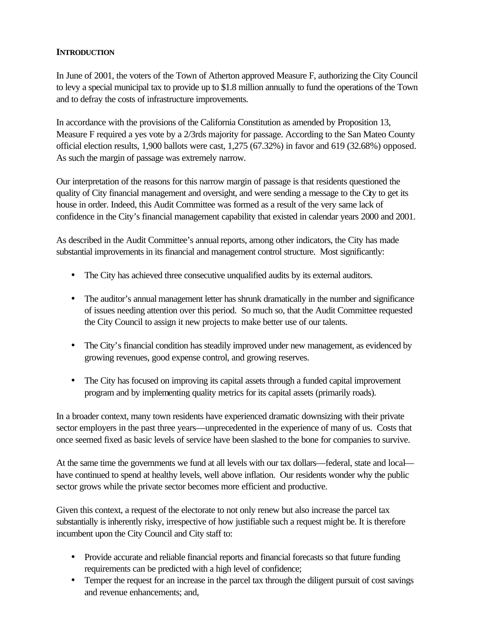### **INTRODUCTION**

In June of 2001, the voters of the Town of Atherton approved Measure F, authorizing the City Council to levy a special municipal tax to provide up to \$1.8 million annually to fund the operations of the Town and to defray the costs of infrastructure improvements.

In accordance with the provisions of the California Constitution as amended by Proposition 13, Measure F required a yes vote by a 2/3rds majority for passage. According to the San Mateo County official election results, 1,900 ballots were cast, 1,275 (67.32%) in favor and 619 (32.68%) opposed. As such the margin of passage was extremely narrow.

Our interpretation of the reasons for this narrow margin of passage is that residents questioned the quality of City financial management and oversight, and were sending a message to the City to get its house in order. Indeed, this Audit Committee was formed as a result of the very same lack of confidence in the City's financial management capability that existed in calendar years 2000 and 2001.

As described in the Audit Committee's annual reports, among other indicators, the City has made substantial improvements in its financial and management control structure. Most significantly:

- The City has achieved three consecutive unqualified audits by its external auditors.
- The auditor's annual management letter has shrunk dramatically in the number and significance of issues needing attention over this period. So much so, that the Audit Committee requested the City Council to assign it new projects to make better use of our talents.
- The City's financial condition has steadily improved under new management, as evidenced by growing revenues, good expense control, and growing reserves.
- The City has focused on improving its capital assets through a funded capital improvement program and by implementing quality metrics for its capital assets (primarily roads).

In a broader context, many town residents have experienced dramatic downsizing with their private sector employers in the past three years—unprecedented in the experience of many of us. Costs that once seemed fixed as basic levels of service have been slashed to the bone for companies to survive.

At the same time the governments we fund at all levels with our tax dollars—federal, state and local have continued to spend at healthy levels, well above inflation. Our residents wonder why the public sector grows while the private sector becomes more efficient and productive.

Given this context, a request of the electorate to not only renew but also increase the parcel tax substantially is inherently risky, irrespective of how justifiable such a request might be. It is therefore incumbent upon the City Council and City staff to:

- Provide accurate and reliable financial reports and financial forecasts so that future funding requirements can be predicted with a high level of confidence;
- Temper the request for an increase in the parcel tax through the diligent pursuit of cost savings and revenue enhancements; and,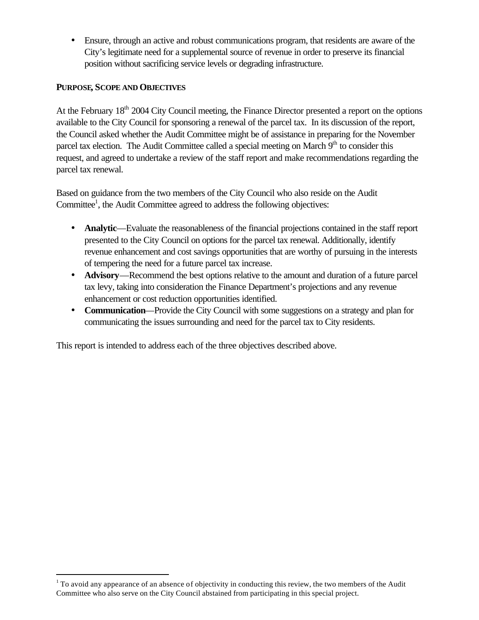• Ensure, through an active and robust communications program, that residents are aware of the City's legitimate need for a supplemental source of revenue in order to preserve its financial position without sacrificing service levels or degrading infrastructure.

### **PURPOSE, SCOPE AND OBJECTIVES**

 $\overline{a}$ 

At the February 18<sup>th</sup> 2004 City Council meeting, the Finance Director presented a report on the options available to the City Council for sponsoring a renewal of the parcel tax. In its discussion of the report, the Council asked whether the Audit Committee might be of assistance in preparing for the November parcel tax election. The Audit Committee called a special meeting on March  $9<sup>th</sup>$  to consider this request, and agreed to undertake a review of the staff report and make recommendations regarding the parcel tax renewal.

Based on guidance from the two members of the City Council who also reside on the Audit Committee<sup>1</sup>, the Audit Committee agreed to address the following objectives:

- **Analytic—Evaluate the reasonableness of the financial projections contained in the staff report** presented to the City Council on options for the parcel tax renewal. Additionally, identify revenue enhancement and cost savings opportunities that are worthy of pursuing in the interests of tempering the need for a future parcel tax increase.
- **Advisory**—Recommend the best options relative to the amount and duration of a future parcel tax levy, taking into consideration the Finance Department's projections and any revenue enhancement or cost reduction opportunities identified.
- **Communication**—Provide the City Council with some suggestions on a strategy and plan for communicating the issues surrounding and need for the parcel tax to City residents.

This report is intended to address each of the three objectives described above.

 $1$  To avoid any appearance of an absence of objectivity in conducting this review, the two members of the Audit Committee who also serve on the City Council abstained from participating in this special project.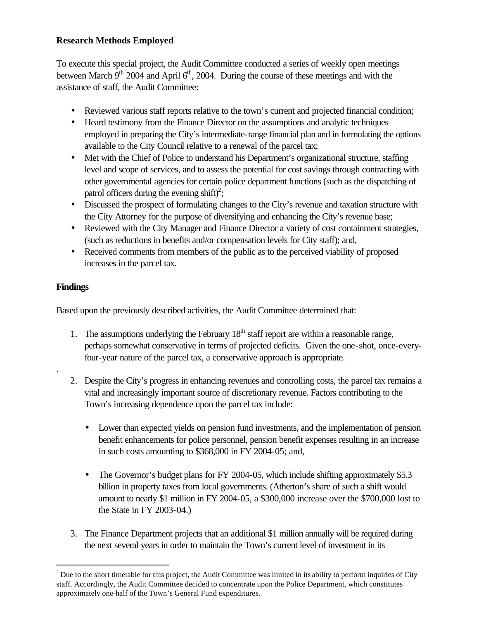## **Research Methods Employed**

To execute this special project, the Audit Committee conducted a series of weekly open meetings between March  $9<sup>th</sup>$  2004 and April  $6<sup>th</sup>$ , 2004. During the course of these meetings and with the assistance of staff, the Audit Committee:

- Reviewed various staff reports relative to the town's current and projected financial condition;
- Heard testimony from the Finance Director on the assumptions and analytic techniques employed in preparing the City's intermediate-range financial plan and in formulating the options available to the City Council relative to a renewal of the parcel tax;
- Met with the Chief of Police to understand his Department's organizational structure, staffing level and scope of services, and to assess the potential for cost savings through contracting with other governmental agencies for certain police department functions (such as the dispatching of patrol officers during the evening shift)<sup>2</sup>;
- Discussed the prospect of formulating changes to the City's revenue and taxation structure with the City Attorney for the purpose of diversifying and enhancing the City's revenue base;
- Reviewed with the City Manager and Finance Director a variety of cost containment strategies, (such as reductions in benefits and/or compensation levels for City staff); and,
- Received comments from members of the public as to the perceived viability of proposed increases in the parcel tax.

## **Findings**

.

 $\overline{a}$ 

Based upon the previously described activities, the Audit Committee determined that:

- 1. The assumptions underlying the February  $18<sup>th</sup>$  staff report are within a reasonable range, perhaps somewhat conservative in terms of projected deficits. Given the one-shot, once-everyfour-year nature of the parcel tax, a conservative approach is appropriate.
- 2. Despite the City's progress in enhancing revenues and controlling costs, the parcel tax remains a vital and increasingly important source of discretionary revenue. Factors contributing to the Town's increasing dependence upon the parcel tax include:
	- Lower than expected yields on pension fund investments, and the implementation of pension benefit enhancements for police personnel, pension benefit expenses resulting in an increase in such costs amounting to \$368,000 in FY 2004-05; and,
	- The Governor's budget plans for FY 2004-05, which include shifting approximately \$5.3 billion in property taxes from local governments. (Atherton's share of such a shift would amount to nearly \$1 million in FY 2004-05, a \$300,000 increase over the \$700,000 lost to the State in FY 2003-04.)
- 3. The Finance Department projects that an additional \$1 million annually will be required during the next several years in order to maintain the Town's current level of investment in its

 $2^2$  Due to the short timetable for this project, the Audit Committee was limited in its ability to perform inquiries of City staff. Accordingly, the Audit Committee decided to concentrate upon the Police Department, which constitutes approximately one-half of the Town's General Fund expenditures.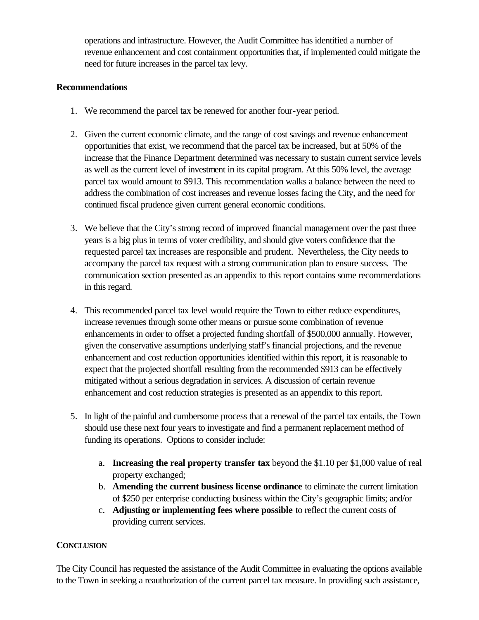operations and infrastructure. However, the Audit Committee has identified a number of revenue enhancement and cost containment opportunities that, if implemented could mitigate the need for future increases in the parcel tax levy.

### **Recommendations**

- 1. We recommend the parcel tax be renewed for another four-year period.
- 2. Given the current economic climate, and the range of cost savings and revenue enhancement opportunities that exist, we recommend that the parcel tax be increased, but at 50% of the increase that the Finance Department determined was necessary to sustain current service levels as well as the current level of investment in its capital program. At this 50% level, the average parcel tax would amount to \$913. This recommendation walks a balance between the need to address the combination of cost increases and revenue losses facing the City, and the need for continued fiscal prudence given current general economic conditions.
- 3. We believe that the City's strong record of improved financial management over the past three years is a big plus in terms of voter credibility, and should give voters confidence that the requested parcel tax increases are responsible and prudent. Nevertheless, the City needs to accompany the parcel tax request with a strong communication plan to ensure success. The communication section presented as an appendix to this report contains some recommendations in this regard.
- 4. This recommended parcel tax level would require the Town to either reduce expenditures, increase revenues through some other means or pursue some combination of revenue enhancements in order to offset a projected funding shortfall of \$500,000 annually. However, given the conservative assumptions underlying staff's financial projections, and the revenue enhancement and cost reduction opportunities identified within this report, it is reasonable to expect that the projected shortfall resulting from the recommended \$913 can be effectively mitigated without a serious degradation in services. A discussion of certain revenue enhancement and cost reduction strategies is presented as an appendix to this report.
- 5. In light of the painful and cumbersome process that a renewal of the parcel tax entails, the Town should use these next four years to investigate and find a permanent replacement method of funding its operations. Options to consider include:
	- a. **Increasing the real property transfer tax** beyond the \$1.10 per \$1,000 value of real property exchanged;
	- b. **Amending the current business license ordinance** to eliminate the current limitation of \$250 per enterprise conducting business within the City's geographic limits; and/or
	- c. **Adjusting or implementing fees where possible** to reflect the current costs of providing current services.

### **CONCLUSION**

The City Council has requested the assistance of the Audit Committee in evaluating the options available to the Town in seeking a reauthorization of the current parcel tax measure. In providing such assistance,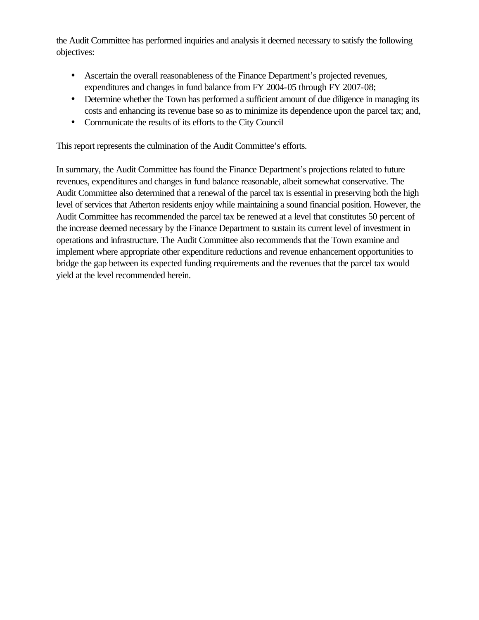the Audit Committee has performed inquiries and analysis it deemed necessary to satisfy the following objectives:

- Ascertain the overall reasonableness of the Finance Department's projected revenues, expenditures and changes in fund balance from FY 2004-05 through FY 2007-08;
- Determine whether the Town has performed a sufficient amount of due diligence in managing its costs and enhancing its revenue base so as to minimize its dependence upon the parcel tax; and,
- Communicate the results of its efforts to the City Council

This report represents the culmination of the Audit Committee's efforts.

In summary, the Audit Committee has found the Finance Department's projections related to future revenues, expenditures and changes in fund balance reasonable, albeit somewhat conservative. The Audit Committee also determined that a renewal of the parcel tax is essential in preserving both the high level of services that Atherton residents enjoy while maintaining a sound financial position. However, the Audit Committee has recommended the parcel tax be renewed at a level that constitutes 50 percent of the increase deemed necessary by the Finance Department to sustain its current level of investment in operations and infrastructure. The Audit Committee also recommends that the Town examine and implement where appropriate other expenditure reductions and revenue enhancement opportunities to bridge the gap between its expected funding requirements and the revenues that the parcel tax would yield at the level recommended herein.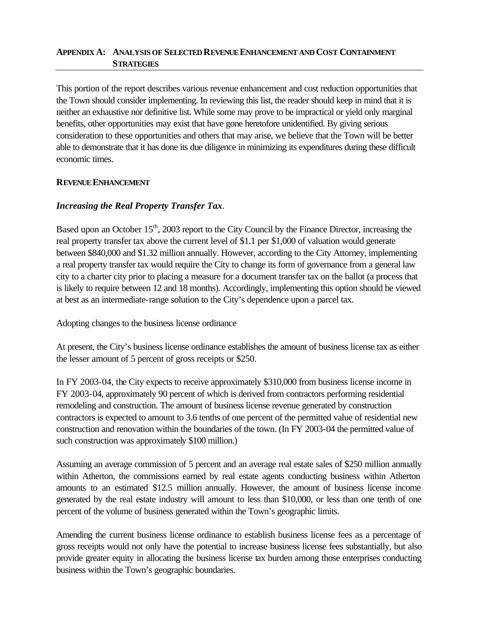### **APPENDIX A: ANALYSIS OF SELECTED REVENUE ENHANCEMENT AND COST CONTAINMENT STRATEGIES**

This portion of the report describes various revenue enhancement and cost reduction opportunities that the Town should consider implementing. In reviewing this list, the reader should keep in mind that it is neither an exhaustive nor definitive list. While some may prove to be impractical or yield only marginal benefits, other opportunities may exist that have gone heretofore unidentified. By giving serious consideration to these opportunities and others that may arise, we believe that the Town will be better able to demonstrate that it has done its due diligence in minimizing its expenditures during these difficult economic times.

### **REVENUE ENHANCEMENT**

### *Increasing the Real Property Transfer Tax.*

Based upon an October 15<sup>th</sup>, 2003 report to the City Council by the Finance Director, increasing the real property transfer tax above the current level of \$1.1 per \$1,000 of valuation would generate between \$840,000 and \$1.32 million annually. However, according to the City Attorney, implementing a real property transfer tax would require the City to change its form of governance from a general law city to a charter city prior to placing a measure for a document transfer tax on the ballot (a process that is likely to require between 12 and 18 months). Accordingly, implementing this option should be viewed at best as an intermediate-range solution to the City's dependence upon a parcel tax.

Adopting changes to the business license ordinance

At present, the City's business license ordinance establishes the amount of business license tax as either the lesser amount of 5 percent of gross receipts or \$250.

In FY 2003-04, the City expects to receive approximately \$310,000 from business license income in FY 2003-04, approximately 90 percent of which is derived from contractors performing residential remodeling and construction. The amount of business license revenue generated by construction contractors is expected to amount to 3.6 tenths of one percent of the permitted value of residential new construction and renovation within the boundaries of the town. (In FY 2003-04 the permitted value of such construction was approximately \$100 million.)

Assuming an average commission of 5 percent and an average real estate sales of \$250 million annually within Atherton, the commissions earned by real estate agents conducting business within Atherton amounts to an estimated \$12.5 million annually. However, the amount of business license income generated by the real estate industry will amount to less than \$10,000, or less than one tenth of one percent of the volume of business generated within the Town's geographic limits.

Amending the current business license ordinance to establish business license fees as a percentage of gross receipts would not only have the potential to increase business license fees substantially, but also provide greater equity in allocating the business license tax burden among those enterprises conducting business within the Town's geographic boundaries.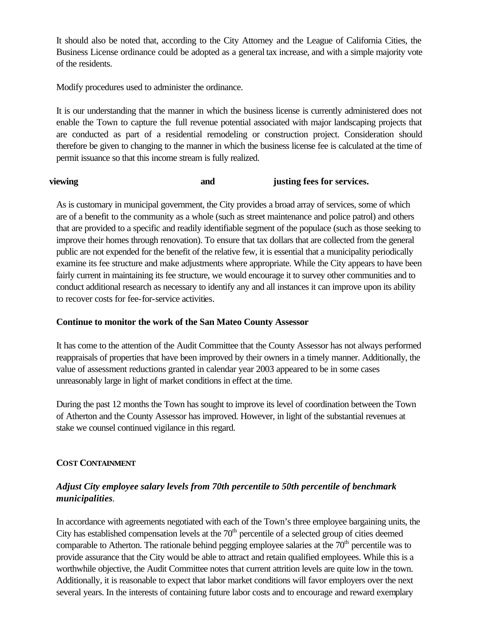It should also be noted that, according to the City Attorney and the League of California Cities, the Business License ordinance could be adopted as a general tax increase, and with a simple majority vote of the residents.

Modify procedures used to administer the ordinance.

It is our understanding that the manner in which the business license is currently administered does not enable the Town to capture the full revenue potential associated with major landscaping projects that are conducted as part of a residential remodeling or construction project. Consideration should therefore be given to changing to the manner in which the business license fee is calculated at the time of permit issuance so that this income stream is fully realized.

### **viewing and justing fees for services.**

As is customary in municipal government, the City provides a broad array of services, some of which are of a benefit to the community as a whole (such as street maintenance and police patrol) and others that are provided to a specific and readily identifiable segment of the populace (such as those seeking to improve their homes through renovation). To ensure that tax dollars that are collected from the general public are not expended for the benefit of the relative few, it is essential that a municipality periodically examine its fee structure and make adjustments where appropriate. While the City appears to have been fairly current in maintaining its fee structure, we would encourage it to survey other communities and to conduct additional research as necessary to identify any and all instances it can improve upon its ability to recover costs for fee-for-service activities.

### **Continue to monitor the work of the San Mateo County Assessor**

It has come to the attention of the Audit Committee that the County Assessor has not always performed reappraisals of properties that have been improved by their owners in a timely manner. Additionally, the value of assessment reductions granted in calendar year 2003 appeared to be in some cases unreasonably large in light of market conditions in effect at the time.

During the past 12 months the Town has sought to improve its level of coordination between the Town of Atherton and the County Assessor has improved. However, in light of the substantial revenues at stake we counsel continued vigilance in this regard.

### **COST CONTAINMENT**

# *Adjust City employee salary levels from 70th percentile to 50th percentile of benchmark municipalities.*

In accordance with agreements negotiated with each of the Town's three employee bargaining units, the City has established compensation levels at the  $70<sup>th</sup>$  percentile of a selected group of cities deemed comparable to Atherton. The rationale behind pegging employee salaries at the  $70<sup>th</sup>$  percentile was to provide assurance that the City would be able to attract and retain qualified employees. While this is a worthwhile objective, the Audit Committee notes that current attrition levels are quite low in the town. Additionally, it is reasonable to expect that labor market conditions will favor employers over the next several years. In the interests of containing future labor costs and to encourage and reward exemplary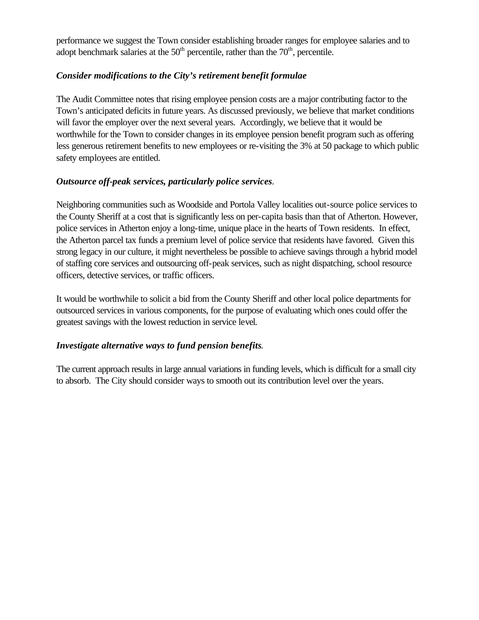performance we suggest the Town consider establishing broader ranges for employee salaries and to adopt benchmark salaries at the  $50<sup>th</sup>$  percentile, rather than the  $70<sup>th</sup>$ , percentile.

## *Consider modifications to the City's retirement benefit formulae*

The Audit Committee notes that rising employee pension costs are a major contributing factor to the Town's anticipated deficits in future years. As discussed previously, we believe that market conditions will favor the employer over the next several years. Accordingly, we believe that it would be worthwhile for the Town to consider changes in its employee pension benefit program such as offering less generous retirement benefits to new employees or re-visiting the 3% at 50 package to which public safety employees are entitled.

## *Outsource off-peak services, particularly police services.*

Neighboring communities such as Woodside and Portola Valley localities out-source police services to the County Sheriff at a cost that is significantly less on per-capita basis than that of Atherton. However, police services in Atherton enjoy a long-time, unique place in the hearts of Town residents. In effect, the Atherton parcel tax funds a premium level of police service that residents have favored. Given this strong legacy in our culture, it might nevertheless be possible to achieve savings through a hybrid model of staffing core services and outsourcing off-peak services, such as night dispatching, school resource officers, detective services, or traffic officers.

It would be worthwhile to solicit a bid from the County Sheriff and other local police departments for outsourced services in various components, for the purpose of evaluating which ones could offer the greatest savings with the lowest reduction in service level.

### *Investigate alternative ways to fund pension benefits*.

The current approach results in large annual variations in funding levels, which is difficult for a small city to absorb. The City should consider ways to smooth out its contribution level over the years.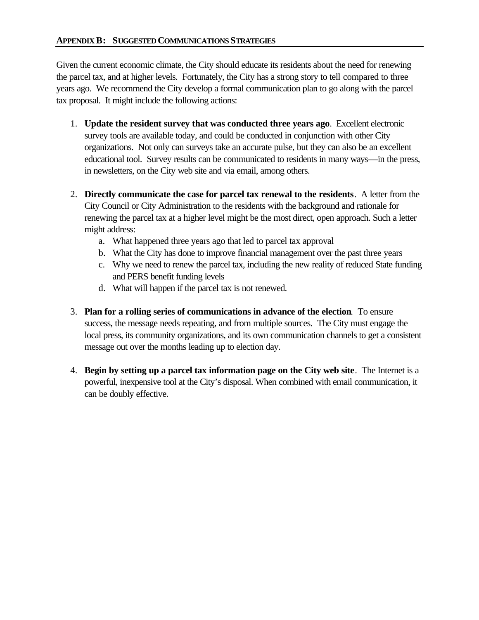Given the current economic climate, the City should educate its residents about the need for renewing the parcel tax, and at higher levels. Fortunately, the City has a strong story to tell compared to three years ago. We recommend the City develop a formal communication plan to go along with the parcel tax proposal. It might include the following actions:

- 1. **Update the resident survey that was conducted three years ago**. Excellent electronic survey tools are available today, and could be conducted in conjunction with other City organizations. Not only can surveys take an accurate pulse, but they can also be an excellent educational tool. Survey results can be communicated to residents in many ways—in the press, in newsletters, on the City web site and via email, among others.
- 2. **Directly communicate the case for parcel tax renewal to the residents**. A letter from the City Council or City Administration to the residents with the background and rationale for renewing the parcel tax at a higher level might be the most direct, open approach. Such a letter might address:
	- a. What happened three years ago that led to parcel tax approval
	- b. What the City has done to improve financial management over the past three years
	- c. Why we need to renew the parcel tax, including the new reality of reduced State funding and PERS benefit funding levels
	- d. What will happen if the parcel tax is not renewed.
- 3. **Plan for a rolling series of communications in advance of the election**. To ensure success, the message needs repeating, and from multiple sources. The City must engage the local press, its community organizations, and its own communication channels to get a consistent message out over the months leading up to election day.
- 4. **Begin by setting up a parcel tax information page on the City web site**. The Internet is a powerful, inexpensive tool at the City's disposal. When combined with email communication, it can be doubly effective.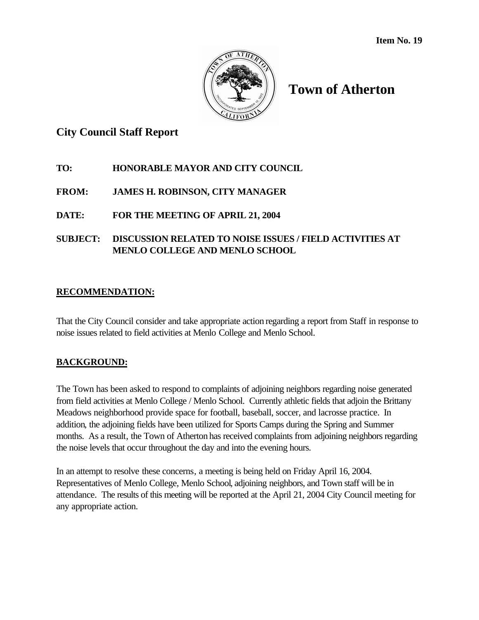

# **Town of Atherton**

# **City Council Staff Report**

# **TO: HONORABLE MAYOR AND CITY COUNCIL**

# **FROM: JAMES H. ROBINSON, CITY MANAGER**

# **DATE: FOR THE MEETING OF APRIL 21, 2004**

# **SUBJECT: DISCUSSION RELATED TO NOISE ISSUES / FIELD ACTIVITIES AT MENLO COLLEGE AND MENLO SCHOOL**

# **RECOMMENDATION:**

That the City Council consider and take appropriate action regarding a report from Staff in response to noise issues related to field activities at Menlo College and Menlo School.

# **BACKGROUND:**

The Town has been asked to respond to complaints of adjoining neighbors regarding noise generated from field activities at Menlo College / Menlo School. Currently athletic fields that adjoin the Brittany Meadows neighborhood provide space for football, baseball, soccer, and lacrosse practice. In addition, the adjoining fields have been utilized for Sports Camps during the Spring and Summer months. As a result, the Town of Atherton has received complaints from adjoining neighbors regarding the noise levels that occur throughout the day and into the evening hours.

In an attempt to resolve these concerns, a meeting is being held on Friday April 16, 2004. Representatives of Menlo College, Menlo School, adjoining neighbors, and Town staff will be in attendance. The results of this meeting will be reported at the April 21, 2004 City Council meeting for any appropriate action.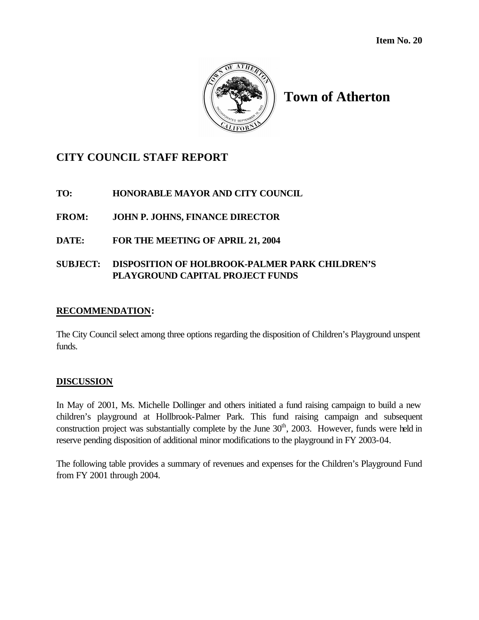

# **Town of Atherton**

# **CITY COUNCIL STAFF REPORT**

# **TO: HONORABLE MAYOR AND CITY COUNCIL**

**FROM: JOHN P. JOHNS, FINANCE DIRECTOR**

**DATE: FOR THE MEETING OF APRIL 21, 2004**

## **SUBJECT: DISPOSITION OF HOLBROOK-PALMER PARK CHILDREN'S PLAYGROUND CAPITAL PROJECT FUNDS**

### **RECOMMENDATION:**

The City Council select among three options regarding the disposition of Children's Playground unspent funds.

### **DISCUSSION**

In May of 2001, Ms. Michelle Dollinger and others initiated a fund raising campaign to build a new children's playground at Hollbrook-Palmer Park. This fund raising campaign and subsequent construction project was substantially complete by the June  $30<sup>th</sup>$ ,  $2003$ . However, funds were held in reserve pending disposition of additional minor modifications to the playground in FY 2003-04.

The following table provides a summary of revenues and expenses for the Children's Playground Fund from FY 2001 through 2004.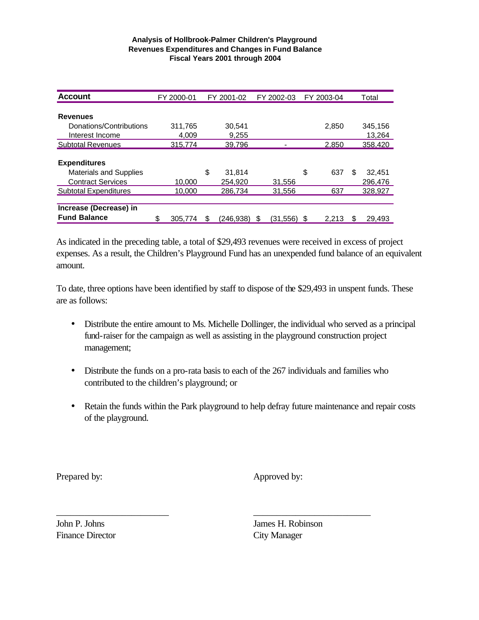#### **Analysis of Hollbrook-Palmer Children's Playground Revenues Expenditures and Changes in Fund Balance Fiscal Years 2001 through 2004**

| <b>Account</b>                | FY 2000-01    | FY 2001-02   | FY 2002-03    | FY 2003-04 |   | Total   |
|-------------------------------|---------------|--------------|---------------|------------|---|---------|
|                               |               |              |               |            |   |         |
| <b>Revenues</b>               |               |              |               |            |   |         |
| Donations/Contributions       | 311,765       | 30.541       |               | 2.850      |   | 345.156 |
| Interest Income               | 4.009         | 9,255        |               |            |   | 13,264  |
| <b>Subtotal Revenues</b>      | 315,774       | 39,796       |               | 2,850      |   | 358,420 |
|                               |               |              |               |            |   |         |
| <b>Expenditures</b>           |               |              |               |            |   |         |
| <b>Materials and Supplies</b> |               | \$<br>31,814 |               | \$<br>637  | S | 32,451  |
| <b>Contract Services</b>      | 10.000        | 254.920      | 31,556        |            |   | 296,476 |
| <b>Subtotal Expenditures</b>  | 10.000        | 286.734      | 31,556        | 637        |   | 328,927 |
|                               |               |              |               |            |   |         |
| Increase (Decrease) in        |               |              |               |            |   |         |
| <b>Fund Balance</b>           | \$<br>305.774 | (246.938)    | S<br>(31.556) | 2.213      |   | 29.493  |

As indicated in the preceding table, a total of \$29,493 revenues were received in excess of project expenses. As a result, the Children's Playground Fund has an unexpended fund balance of an equivalent amount.

To date, three options have been identified by staff to dispose of the \$29,493 in unspent funds. These are as follows:

- Distribute the entire amount to Ms. Michelle Dollinger, the individual who served as a principal fund-raiser for the campaign as well as assisting in the playground construction project management;
- Distribute the funds on a pro-rata basis to each of the 267 individuals and families who contributed to the children's playground; or

\_\_\_\_\_\_\_\_\_\_\_\_\_\_\_\_\_\_\_\_\_\_\_\_ \_\_\_\_\_\_\_\_\_\_\_\_\_\_\_\_\_\_\_\_\_\_\_\_\_

• Retain the funds within the Park playground to help defray future maintenance and repair costs of the playground.

Prepared by: Approved by:

Finance Director City Manager

John P. Johns James H. Robinson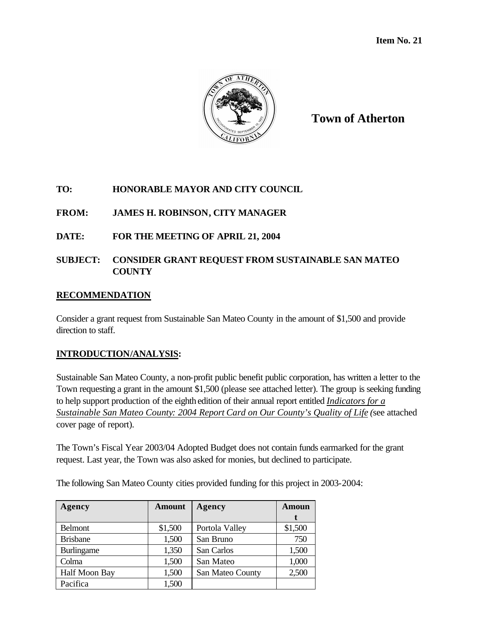

**Town of Atherton**

# **TO: HONORABLE MAYOR AND CITY COUNCIL**

# **FROM: JAMES H. ROBINSON, CITY MANAGER**

# **DATE: FOR THE MEETING OF APRIL 21, 2004**

## **SUBJECT: CONSIDER GRANT REQUEST FROM SUSTAINABLE SAN MATEO COUNTY**

## **RECOMMENDATION**

Consider a grant request from Sustainable San Mateo County in the amount of \$1,500 and provide direction to staff.

### **INTRODUCTION/ANALYSIS:**

Sustainable San Mateo County, a non-profit public benefit public corporation, has written a letter to the Town requesting a grant in the amount \$1,500 (please see attached letter). The group is seeking funding to help support production of the eighth edition of their annual report entitled *Indicators for a Sustainable San Mateo County: 2004 Report Card on Our County's Quality of Life (*see attached cover page of report).

The Town's Fiscal Year 2003/04 Adopted Budget does not contain funds earmarked for the grant request. Last year, the Town was also asked for monies, but declined to participate.

The following San Mateo County cities provided funding for this project in 2003-2004:

| Agency            | <b>Amount</b> | Agency           | Amoun   |  |
|-------------------|---------------|------------------|---------|--|
|                   |               |                  |         |  |
| <b>Belmont</b>    | \$1,500       | Portola Valley   | \$1,500 |  |
| <b>Brisbane</b>   | 1,500         | San Bruno        | 750     |  |
| <b>Burlingame</b> | 1,350         | San Carlos       | 1,500   |  |
| Colma             | 1,500         | San Mateo        | 1,000   |  |
| Half Moon Bay     | 1,500         | San Mateo County | 2,500   |  |
| Pacifica          | 1,500         |                  |         |  |